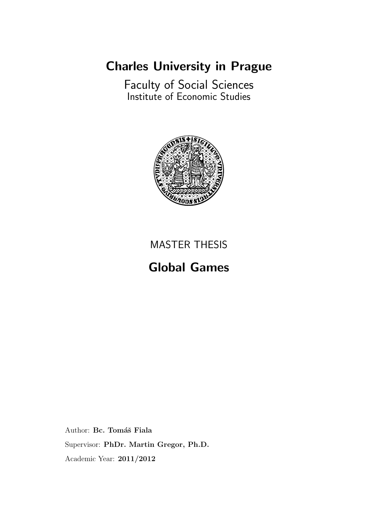## Charles University in Prague

Faculty of Social Sciences Institute of Economic Studies



## MASTER THESIS

## Global Games

Author: Bc. Tomáš Fiala Supervisor: PhDr. Martin Gregor, Ph.D. Academic Year: 2011/2012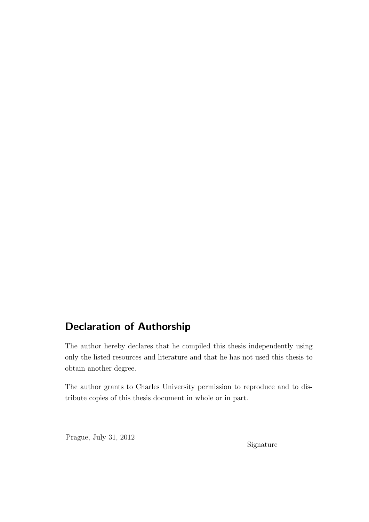## Declaration of Authorship

The author hereby declares that he compiled this thesis independently using only the listed resources and literature and that he has not used this thesis to obtain another degree.

The author grants to Charles University permission to reproduce and to distribute copies of this thesis document in whole or in part.

Prague, July 31, 2012

Signature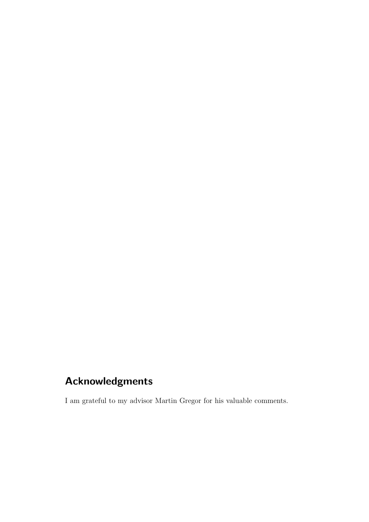## Acknowledgments

I am grateful to my advisor Martin Gregor for his valuable comments.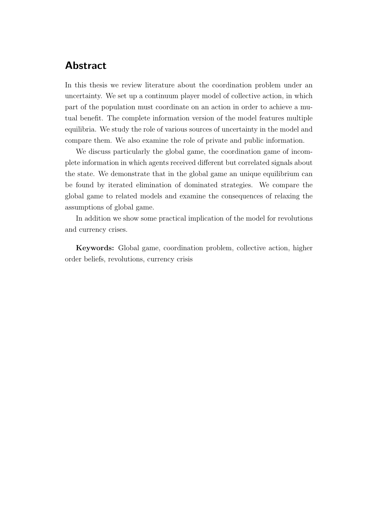## Abstract

In this thesis we review literature about the coordination problem under an uncertainty. We set up a continuum player model of collective action, in which part of the population must coordinate on an action in order to achieve a mutual benefit. The complete information version of the model features multiple equilibria. We study the role of various sources of uncertainty in the model and compare them. We also examine the role of private and public information.

We discuss particularly the global game, the coordination game of incomplete information in which agents received different but correlated signals about the state. We demonstrate that in the global game an unique equilibrium can be found by iterated elimination of dominated strategies. We compare the global game to related models and examine the consequences of relaxing the assumptions of global game.

In addition we show some practical implication of the model for revolutions and currency crises.

Keywords: Global game, coordination problem, collective action, higher order beliefs, revolutions, currency crisis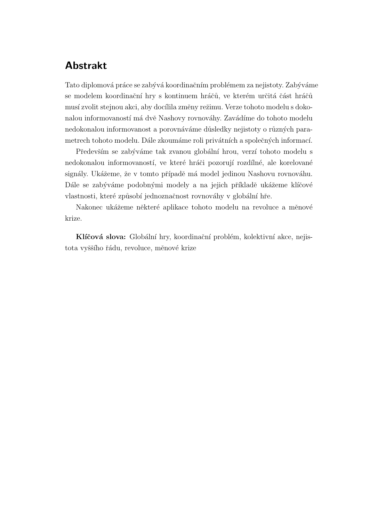## Abstrakt

Tato diplomová práce se zabývá koordinačním problémem za nejistoty. Zabýváme se modelem koordinační hry s kontinuem hráčů, ve kterém určitá část hráčů musí zvolit stejnou akci, aby docílila změny režimu. Verze tohoto modelu s dokonalou informovaností má dvě Nashovy rovnováhy. Zavádíme do tohoto modelu nedokonalou informovanost a porovnáváme důsledky nejistoty o různých parametrech tohoto modelu. Dále zkoumáme roli privátních a společných informací.

Především se zabýváme tak zvanou globální hrou, verzí tohoto modelu s nedokonalou informovaností, ve které hráči pozorují rozdílné, ale korelované signály. Ukážeme, že v tomto případě má model jedinou Nashovu rovnováhu. Dále se zabýváme podobnými modely a na jejich příkladě ukážeme klíčové vlastnosti, které způsobí jednoznačnost rovnováhy v globální hře.

Nakonec ukážeme některé aplikace tohoto modelu na revoluce a měnové krize.

Klíčová slova: Globální hry, koordinační problém, kolektivní akce, nejistota vyššího řádu, revoluce, měnové krize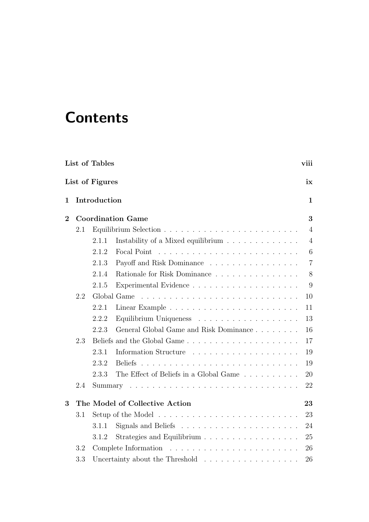# **Contents**

|          |     | List of Tables  |                                                                                  | viii           |
|----------|-----|-----------------|----------------------------------------------------------------------------------|----------------|
|          |     | List of Figures |                                                                                  | ix             |
| 1        |     | Introduction    |                                                                                  | $\mathbf{1}$   |
| $\bf{2}$ |     |                 | <b>Coordination Game</b>                                                         | 3              |
|          | 2.1 |                 |                                                                                  | $\overline{4}$ |
|          |     | 2.1.1           | Instability of a Mixed equilibrium                                               | $\overline{4}$ |
|          |     | 2.1.2           |                                                                                  | 6              |
|          |     | 2.1.3           | Payoff and Risk Dominance                                                        | $\overline{7}$ |
|          |     | 2.1.4           | Rationale for Risk Dominance                                                     | 8              |
|          |     | 2.1.5           |                                                                                  | 9              |
|          | 2.2 |                 | Global Game                                                                      | 10             |
|          |     | 2.2.1           |                                                                                  | 11             |
|          |     | 2.2.2           |                                                                                  | 13             |
|          |     | 2.2.3           | General Global Game and Risk Dominance                                           | 16             |
|          | 2.3 |                 |                                                                                  | 17             |
|          |     | 2.3.1           | Information Structure                                                            | 19             |
|          |     | 2.3.2           | <b>Beliefs</b><br><u>. Kanada ana kaominina amin'ny fivondronan-kaominin'i A</u> | 19             |
|          |     | 2.3.3           | The Effect of Beliefs in a Global Game                                           | 20             |
|          | 2.4 | Summary         |                                                                                  | 22             |
| 3        |     |                 | The Model of Collective Action                                                   | 23             |
|          | 3.1 |                 |                                                                                  | 23             |
|          |     | 3.1.1           |                                                                                  | 24             |
|          |     | 3.1.2           | Strategies and Equilibrium                                                       | 25             |
|          | 3.2 |                 | Complete Information                                                             | 26             |
|          | 3.3 |                 | Uncertainty about the Threshold                                                  | 26             |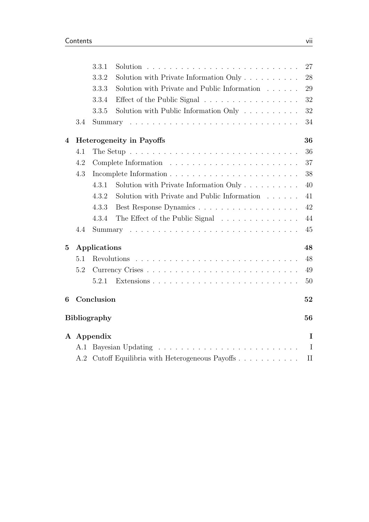|                | 3.3.1                                                                             |  |  |  |
|----------------|-----------------------------------------------------------------------------------|--|--|--|
|                | Solution with Private Information Only $\ldots \ldots \ldots$<br>3.3.2            |  |  |  |
|                | Solution with Private and Public Information $\ldots \ldots$<br>3.3.3             |  |  |  |
|                | Effect of the Public Signal<br>3.3.4                                              |  |  |  |
|                | Solution with Public Information Only $\ldots \ldots \ldots$<br>3.3.5             |  |  |  |
| 3.4            |                                                                                   |  |  |  |
| 4              | <b>Heterogeneity in Payoffs</b>                                                   |  |  |  |
| 4.1            | The Setup $\ldots \ldots \ldots \ldots \ldots \ldots \ldots \ldots \ldots \ldots$ |  |  |  |
| 4.2            |                                                                                   |  |  |  |
| 4.3            |                                                                                   |  |  |  |
|                | 4.3.1                                                                             |  |  |  |
|                | Solution with Private and Public Information<br>4.3.2                             |  |  |  |
|                | 4.3.3                                                                             |  |  |  |
|                | 4.3.4<br>The Effect of the Public Signal                                          |  |  |  |
| 4.4            |                                                                                   |  |  |  |
| $\overline{5}$ | Applications                                                                      |  |  |  |
| 5.1            |                                                                                   |  |  |  |
| 5.2            |                                                                                   |  |  |  |
|                | 5.2.1                                                                             |  |  |  |
| 6              | Conclusion                                                                        |  |  |  |
|                | <b>Bibliography</b>                                                               |  |  |  |
|                | A Appendix                                                                        |  |  |  |
| A.1            |                                                                                   |  |  |  |
| A.2            | Cutoff Equilibria with Heterogeneous Payoffs                                      |  |  |  |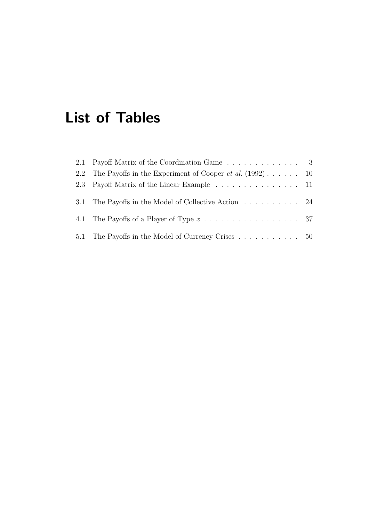# <span id="page-7-0"></span>List of Tables

| 2.1 Payoff Matrix of the Coordination Game 3                                         |  |
|--------------------------------------------------------------------------------------|--|
| 2.2 The Payoffs in the Experiment of Cooper <i>et al.</i> $(1992) \ldots$ 10         |  |
| 2.3 Payoff Matrix of the Linear Example 11                                           |  |
| 3.1 The Payoffs in the Model of Collective Action 24                                 |  |
| 4.1 The Payoffs of a Player of Type $x \dots \dots \dots \dots \dots \dots \dots$ 37 |  |
| 5.1 The Payoffs in the Model of Currency Crises  50                                  |  |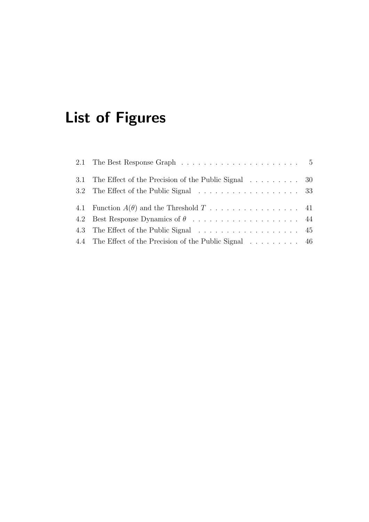# <span id="page-8-0"></span>List of Figures

| 3.1 The Effect of the Precision of the Public Signal 30                                  |  |
|------------------------------------------------------------------------------------------|--|
| 3.2 The Effect of the Public Signal 33                                                   |  |
| 4.1 Function $A(\theta)$ and the Threshold $T \dots \dots \dots \dots \dots \dots \dots$ |  |
|                                                                                          |  |
| 4.3 The Effect of the Public Signal 45                                                   |  |
| 4.4 The Effect of the Precision of the Public Signal 46                                  |  |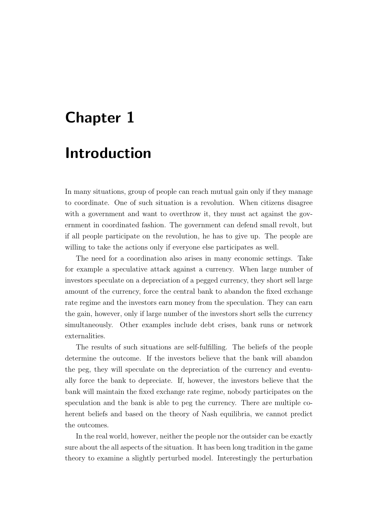## <span id="page-9-0"></span>Chapter 1

## Introduction

In many situations, group of people can reach mutual gain only if they manage to coordinate. One of such situation is a revolution. When citizens disagree with a government and want to overthrow it, they must act against the government in coordinated fashion. The government can defend small revolt, but if all people participate on the revolution, he has to give up. The people are willing to take the actions only if everyone else participates as well.

The need for a coordination also arises in many economic settings. Take for example a speculative attack against a currency. When large number of investors speculate on a depreciation of a pegged currency, they short sell large amount of the currency, force the central bank to abandon the fixed exchange rate regime and the investors earn money from the speculation. They can earn the gain, however, only if large number of the investors short sells the currency simultaneously. Other examples include debt crises, bank runs or network externalities.

The results of such situations are self-fulfilling. The beliefs of the people determine the outcome. If the investors believe that the bank will abandon the peg, they will speculate on the depreciation of the currency and eventually force the bank to depreciate. If, however, the investors believe that the bank will maintain the fixed exchange rate regime, nobody participates on the speculation and the bank is able to peg the currency. There are multiple coherent beliefs and based on the theory of Nash equilibria, we cannot predict the outcomes.

In the real world, however, neither the people nor the outsider can be exactly sure about the all aspects of the situation. It has been long tradition in the game theory to examine a slightly perturbed model. Interestingly the perturbation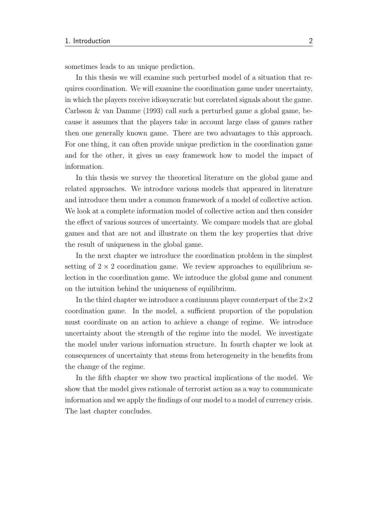sometimes leads to an unique prediction.

In this thesis we will examine such perturbed model of a situation that requires coordination. We will examine the coordination game under uncertainty, in which the players receive idiosyncratic but correlated signals about the game. [Carlsson & van Damme](#page-62-2) [\(1993\)](#page-62-2) call such a perturbed game a global game, because it assumes that the players take in account large class of games rather then one generally known game. There are two advantages to this approach. For one thing, it can often provide unique prediction in the coordination game and for the other, it gives us easy framework how to model the impact of information.

In this thesis we survey the theoretical literature on the global game and related approaches. We introduce various models that appeared in literature and introduce them under a common framework of a model of collective action. We look at a complete information model of collective action and then consider the effect of various sources of uncertainty. We compare models that are global games and that are not and illustrate on them the key properties that drive the result of uniqueness in the global game.

In the next chapter we introduce the coordination problem in the simplest setting of  $2 \times 2$  coordination game. We review approaches to equilibrium selection in the coordination game. We introduce the global game and comment on the intuition behind the uniqueness of equilibrium.

In the third chapter we introduce a continuum player counterpart of the  $2\times 2$ coordination game. In the model, a sufficient proportion of the population must coordinate on an action to achieve a change of regime. We introduce uncertainty about the strength of the regime into the model. We investigate the model under various information structure. In fourth chapter we look at consequences of uncertainty that stems from heterogeneity in the benefits from the change of the regime.

In the fifth chapter we show two practical implications of the model. We show that the model gives rationale of terrorist action as a way to communicate information and we apply the findings of our model to a model of currency crisis. The last chapter concludes.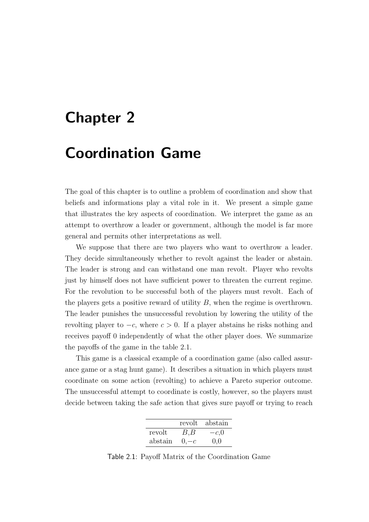## <span id="page-11-0"></span>Chapter 2

## Coordination Game

The goal of this chapter is to outline a problem of coordination and show that beliefs and informations play a vital role in it. We present a simple game that illustrates the key aspects of coordination. We interpret the game as an attempt to overthrow a leader or government, although the model is far more general and permits other interpretations as well.

We suppose that there are two players who want to overthrow a leader. They decide simultaneously whether to revolt against the leader or abstain. The leader is strong and can withstand one man revolt. Player who revolts just by himself does not have sufficient power to threaten the current regime. For the revolution to be successful both of the players must revolt. Each of the players gets a positive reward of utility  $B$ , when the regime is overthrown. The leader punishes the unsuccessful revolution by lowering the utility of the revolting player to  $-c$ , where  $c > 0$ . If a player abstains he risks nothing and receives payoff 0 independently of what the other player does. We summarize the payoffs of the game in the table [2.1.](#page-11-1)

This game is a classical example of a coordination game (also called assurance game or a stag hunt game). It describes a situation in which players must coordinate on some action (revolting) to achieve a Pareto superior outcome. The unsuccessful attempt to coordinate is costly, however, so the players must decide between taking the safe action that gives sure payoff or trying to reach

|         | revolt    | abstain |
|---------|-----------|---------|
| revolt  | $B$ , $B$ | $-c,0$  |
| abstain | $0,-c$    | 0,0     |

<span id="page-11-1"></span>Table 2.1: Payoff Matrix of the Coordination Game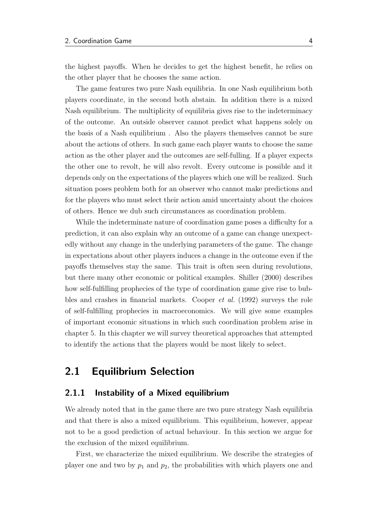the highest payoffs. When he decides to get the highest benefit, he relies on the other player that he chooses the same action.

The game features two pure Nash equilibria. In one Nash equilibrium both players coordinate, in the second both abstain. In addition there is a mixed Nash equilibrium. The multiplicity of equilibria gives rise to the indeterminacy of the outcome. An outside observer cannot predict what happens solely on the basis of a Nash equilibrium . Also the players themselves cannot be sure about the actions of others. In such game each player wants to choose the same action as the other player and the outcomes are self-fulling. If a player expects the other one to revolt, he will also revolt. Every outcome is possible and it depends only on the expectations of the players which one will be realized. Such situation poses problem both for an observer who cannot make predictions and for the players who must select their action amid uncertainty about the choices of others. Hence we dub such circumstances as coordination problem.

While the indeterminate nature of coordination game poses a difficulty for a prediction, it can also explain why an outcome of a game can change unexpectedly without any change in the underlying parameters of the game. The change in expectations about other players induces a change in the outcome even if the payoffs themselves stay the same. This trait is often seen during revolutions, but there many other economic or political examples. [Shiller](#page-64-0) [\(2000\)](#page-64-0) describes how self-fulfilling prophecies of the type of coordination game give rise to bubbles and crashes in financial markets. [Cooper](#page-62-1) et al. [\(1992\)](#page-62-1) surveys the role of self-fulfilling prophecies in macroeconomics. We will give some examples of important economic situations in which such coordination problem arise in chapter [5.](#page-56-0) In this chapter we will survey theoretical approaches that attempted to identify the actions that the players would be most likely to select.

### <span id="page-12-0"></span>2.1 Equilibrium Selection

### <span id="page-12-1"></span>2.1.1 Instability of a Mixed equilibrium

We already noted that in the game there are two pure strategy Nash equilibria and that there is also a mixed equilibrium. This equilibrium, however, appear not to be a good prediction of actual behaviour. In this section we argue for the exclusion of the mixed equilibrium.

First, we characterize the mixed equilibrium. We describe the strategies of player one and two by  $p_1$  and  $p_2$ , the probabilities with which players one and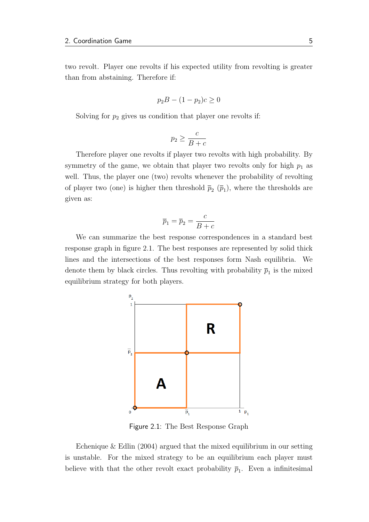two revolt. Player one revolts if his expected utility from revolting is greater than from abstaining. Therefore if:

$$
p_2B - (1 - p_2)c \ge 0
$$

Solving for  $p_2$  gives us condition that player one revolts if:

$$
p_2 \ge \frac{c}{B+c}
$$

Therefore player one revolts if player two revolts with high probability. By symmetry of the game, we obtain that player two revolts only for high  $p_1$  as well. Thus, the player one (two) revolts whenever the probability of revolting of player two (one) is higher then threshold  $\bar{p}_2$  ( $\bar{p}_1$ ), where the thresholds are given as:

$$
\overline{p}_1 = \overline{p}_2 = \frac{c}{B+c}
$$

<span id="page-13-0"></span>We can summarize the best response correspondences in a standard best response graph in figure [2.1.](#page-13-0) The best responses are represented by solid thick lines and the intersections of the best responses form Nash equilibria. We denote them by black circles. Thus revolting with probability  $\bar{p}_1$  is the mixed equilibrium strategy for both players.



Figure 2.1: The Best Response Graph

[Echenique & Edlin](#page-63-0) [\(2004\)](#page-63-0) argued that the mixed equilibrium in our setting is unstable. For the mixed strategy to be an equilibrium each player must believe with that the other revolt exact probability  $\bar{p}_1$ . Even a infinitesimal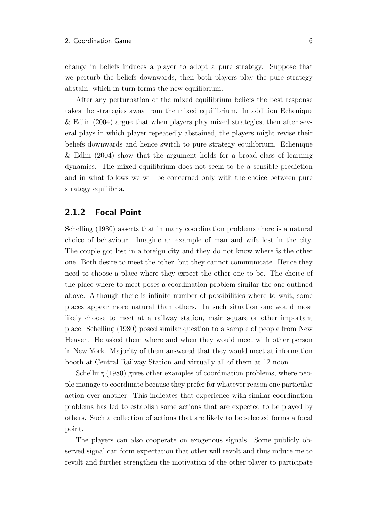change in beliefs induces a player to adopt a pure strategy. Suppose that we perturb the beliefs downwards, then both players play the pure strategy abstain, which in turn forms the new equilibrium.

After any perturbation of the mixed equilibrium beliefs the best response takes the strategies away from the mixed equilibrium. In addition [Echenique](#page-63-0) [& Edlin](#page-63-0) [\(2004\)](#page-63-0) argue that when players play mixed strategies, then after several plays in which player repeatedly abstained, the players might revise their beliefs downwards and hence switch to pure strategy equilibrium. [Echenique](#page-63-0) [& Edlin](#page-63-0) [\(2004\)](#page-63-0) show that the argument holds for a broad class of learning dynamics. The mixed equilibrium does not seem to be a sensible prediction and in what follows we will be concerned only with the choice between pure strategy equilibria.

### <span id="page-14-0"></span>2.1.2 Focal Point

[Schelling](#page-64-1) [\(1980\)](#page-64-1) asserts that in many coordination problems there is a natural choice of behaviour. Imagine an example of man and wife lost in the city. The couple got lost in a foreign city and they do not know where is the other one. Both desire to meet the other, but they cannot communicate. Hence they need to choose a place where they expect the other one to be. The choice of the place where to meet poses a coordination problem similar the one outlined above. Although there is infinite number of possibilities where to wait, some places appear more natural than others. In such situation one would most likely choose to meet at a railway station, main square or other important place. [Schelling](#page-64-1) [\(1980\)](#page-64-1) posed similar question to a sample of people from New Heaven. He asked them where and when they would meet with other person in New York. Majority of them answered that they would meet at information booth at Central Railway Station and virtually all of them at 12 noon.

[Schelling](#page-64-1) [\(1980\)](#page-64-1) gives other examples of coordination problems, where people manage to coordinate because they prefer for whatever reason one particular action over another. This indicates that experience with similar coordination problems has led to establish some actions that are expected to be played by others. Such a collection of actions that are likely to be selected forms a focal point.

The players can also cooperate on exogenous signals. Some publicly observed signal can form expectation that other will revolt and thus induce me to revolt and further strengthen the motivation of the other player to participate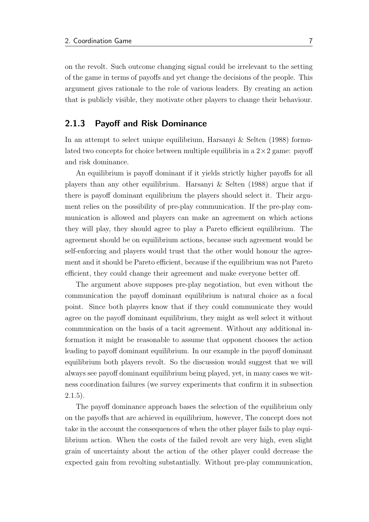on the revolt. Such outcome changing signal could be irrelevant to the setting of the game in terms of payoffs and yet change the decisions of the people. This argument gives rationale to the role of various leaders. By creating an action that is publicly visible, they motivate other players to change their behaviour.

#### <span id="page-15-0"></span>2.1.3 Payoff and Risk Dominance

In an attempt to select unique equilibrium, [Harsanyi & Selten](#page-63-1) [\(1988\)](#page-63-1) formulated two concepts for choice between multiple equilibria in a  $2 \times 2$  game: payoff and risk dominance.

An equilibrium is payoff dominant if it yields strictly higher payoffs for all players than any other equilibrium. [Harsanyi & Selten](#page-63-1) [\(1988\)](#page-63-1) argue that if there is payoff dominant equilibrium the players should select it. Their argument relies on the possibility of pre-play communication. If the pre-play communication is allowed and players can make an agreement on which actions they will play, they should agree to play a Pareto efficient equilibrium. The agreement should be on equilibrium actions, because such agreement would be self-enforcing and players would trust that the other would honour the agreement and it should be Pareto efficient, because if the equilibrium was not Pareto efficient, they could change their agreement and make everyone better off.

The argument above supposes pre-play negotiation, but even without the communication the payoff dominant equilibrium is natural choice as a focal point. Since both players know that if they could communicate they would agree on the payoff dominant equilibrium, they might as well select it without communication on the basis of a tacit agreement. Without any additional information it might be reasonable to assume that opponent chooses the action leading to payoff dominant equilibrium. In our example in the payoff dominant equilibrium both players revolt. So the discussion would suggest that we will always see payoff dominant equilibrium being played, yet, in many cases we witness coordination failures (we survey experiments that confirm it in subsection  $2.1.5$ ).

The payoff dominance approach bases the selection of the equilibrium only on the payoffs that are achieved in equilibrium, however, The concept does not take in the account the consequences of when the other player fails to play equilibrium action. When the costs of the failed revolt are very high, even slight grain of uncertainty about the action of the other player could decrease the expected gain from revolting substantially. Without pre-play communication,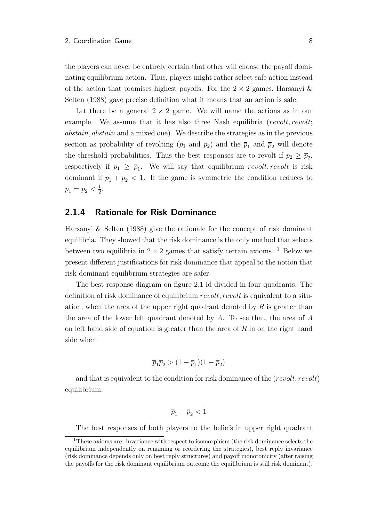the players can never be entirely certain that other will choose the payoff dominating equilibrium action. Thus, players might rather select safe action instead of the action that promises highest payoffs. For the  $2 \times 2$  games, [Harsanyi &](#page-63-1) [Selten](#page-63-1) [\(1988\)](#page-63-1) gave precise definition what it means that an action is safe.

Let there be a general  $2 \times 2$  game. We will name the actions as in our example. We assume that it has also three Nash equilibria (revolt, revolt; abstain, abstain and a mixed one). We describe the strategies as in the previous section as probability of revolting  $(p_1 \text{ and } p_2)$  and the  $\bar{p}_1$  and  $\bar{p}_2$  will denote the threshold probabilities. Thus the best responses are to revolt if  $p_2 \ge \bar{p}_2$ , respectively if  $p_1 \geq \bar{p}_1$ . We will say that equilibrium revolt, revolt is risk dominant if  $\bar{p}_1 + \bar{p}_2 < 1$ . If the game is symmetric the condition reduces to  $\overline{p}_1 = \overline{p}_2 < \frac{1}{2}$  $\frac{1}{2}$ .

#### <span id="page-16-0"></span>2.1.4 Rationale for Risk Dominance

[Harsanyi & Selten](#page-63-1) [\(1988\)](#page-63-1) give the rationale for the concept of risk dominant equilibria. They showed that the risk dominance is the only method that selects between two equilibria in  $2 \times 2$  games that satisfy certain axioms. <sup>[1](#page-16-1)</sup> Below we present different justifications for risk dominance that appeal to the notion that risk dominant equilibrium strategies are safer.

The best response diagram on figure [2.1](#page-13-0) id divided in four quadrants. The definition of risk dominance of equilibrium revolt, revolt is equivalent to a situation, when the area of the upper right quadrant denoted by  $R$  is greater than the area of the lower left quadrant denoted by  $A$ . To see that, the area of  $A$ on left hand side of equation is greater than the area of  $R$  in on the right hand side when:

$$
\overline{p}_1 \overline{p}_2 > (1 - \overline{p}_1)(1 - \overline{p}_2)
$$

and that is equivalent to the condition for risk dominance of the  $(revolt, revolt)$ equilibrium:

$$
\overline{p}_1+\overline{p}_2<1
$$

<span id="page-16-1"></span>The best responses of both players to the beliefs in upper right quadrant

<sup>&</sup>lt;sup>1</sup>These axioms are: invariance with respect to isomorphism (the risk dominance selects the equilibrium independently on renaming or reordering the strategies), best reply invariance (risk dominance depends only on best reply structures) and payoff monotonicity (after raising the payoffs for the risk dominant equilibrium outcome the equilibrium is still risk dominant).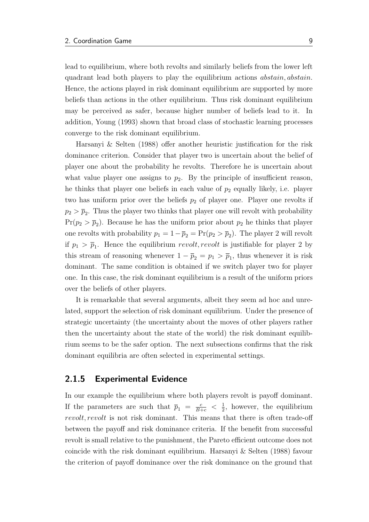lead to equilibrium, where both revolts and similarly beliefs from the lower left quadrant lead both players to play the equilibrium actions abstain, abstain. Hence, the actions played in risk dominant equilibrium are supported by more beliefs than actions in the other equilibrium. Thus risk dominant equilibrium may be perceived as safer, because higher number of beliefs lead to it. In addition, [Young](#page-64-2) [\(1993\)](#page-64-2) shown that broad class of stochastic learning processes converge to the risk dominant equilibrium.

[Harsanyi & Selten](#page-63-1) [\(1988\)](#page-63-1) offer another heuristic justification for the risk dominance criterion. Consider that player two is uncertain about the belief of player one about the probability he revolts. Therefore he is uncertain about what value player one assigns to  $p_2$ . By the principle of insufficient reason, he thinks that player one beliefs in each value of  $p_2$  equally likely, i.e. player two has uniform prior over the beliefs  $p_2$  of player one. Player one revolts if  $p_2 > \bar{p}_2$ . Thus the player two thinks that player one will revolt with probability  $Pr(p_2 > \bar{p}_2)$ . Because he has the uniform prior about  $p_2$  he thinks that player one revolts with probability  $p_1 = 1 - \overline{p}_2 = Pr(p_2 > \overline{p}_2)$ . The player 2 will revolt if  $p_1 > \bar{p}_1$ . Hence the equilibrium revolt, revolt is justifiable for player 2 by this stream of reasoning whenever  $1 - \bar{p}_2 = p_1 > \bar{p}_1$ , thus whenever it is risk dominant. The same condition is obtained if we switch player two for player one. In this case, the risk dominant equilibrium is a result of the uniform priors over the beliefs of other players.

It is remarkable that several arguments, albeit they seem ad hoc and unrelated, support the selection of risk dominant equilibrium. Under the presence of strategic uncertainty (the uncertainty about the moves of other players rather then the uncertainty about the state of the world) the risk dominant equilibrium seems to be the safer option. The next subsections confirms that the risk dominant equilibria are often selected in experimental settings.

#### <span id="page-17-0"></span>2.1.5 Experimental Evidence

In our example the equilibrium where both players revolt is payoff dominant. If the parameters are such that  $\overline{p}_1 = \frac{c}{B+c} < \frac{1}{2}$  $\frac{1}{2}$ , however, the equilibrium revolt, revolt is not risk dominant. This means that there is often trade-off between the payoff and risk dominance criteria. If the benefit from successful revolt is small relative to the punishment, the Pareto efficient outcome does not coincide with the risk dominant equilibrium. [Harsanyi & Selten](#page-63-1) [\(1988\)](#page-63-1) favour the criterion of payoff dominance over the risk dominance on the ground that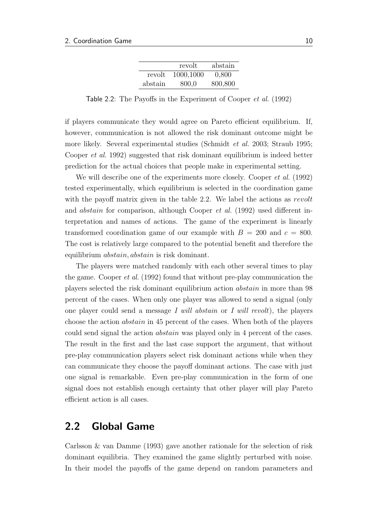|         | revolt    | abstain |
|---------|-----------|---------|
| revolt  | 1000,1000 | 0,800   |
| abstain | 800,0     | 800,800 |

<span id="page-18-1"></span>Table 2.2: The Payoffs in the Experiment of [Cooper](#page-62-1) et al. [\(1992\)](#page-62-1)

if players communicate they would agree on Pareto efficient equilibrium. If, however, communication is not allowed the risk dominant outcome might be more likely. Several experimental studies [\(Schmidt](#page-64-3) *et al.* [2003;](#page-64-3) [Straub](#page-64-4) [1995;](#page-64-4) [Cooper](#page-62-1) et al. [1992\)](#page-62-1) suggested that risk dominant equilibrium is indeed better prediction for the actual choices that people make in experimental setting.

We will describe one of the experiments more closely. [Cooper](#page-62-1) *et al.* [\(1992\)](#page-62-1) tested experimentally, which equilibrium is selected in the coordination game with the payoff matrix given in the table [2.2.](#page-18-1) We label the actions as revolt and abstain for comparison, although [Cooper](#page-62-1) et al. [\(1992\)](#page-62-1) used different interpretation and names of actions. The game of the experiment is linearly transformed coordination game of our example with  $B = 200$  and  $c = 800$ . The cost is relatively large compared to the potential benefit and therefore the equilibrium abstain, abstain is risk dominant.

The players were matched randomly with each other several times to play the game. [Cooper](#page-62-1) et al. [\(1992\)](#page-62-1) found that without pre-play communication the players selected the risk dominant equilibrium action abstain in more than 98 percent of the cases. When only one player was allowed to send a signal (only one player could send a message I will abstain or I will revolt), the players choose the action abstain in 45 percent of the cases. When both of the players could send signal the action abstain was played only in 4 percent of the cases. The result in the first and the last case support the argument, that without pre-play communication players select risk dominant actions while when they can communicate they choose the payoff dominant actions. The case with just one signal is remarkable. Even pre-play communication in the form of one signal does not establish enough certainty that other player will play Pareto efficient action is all cases.

### <span id="page-18-0"></span>2.2 Global Game

[Carlsson & van Damme](#page-62-2) [\(1993\)](#page-62-2) gave another rationale for the selection of risk dominant equilibria. They examined the game slightly perturbed with noise. In their model the payoffs of the game depend on random parameters and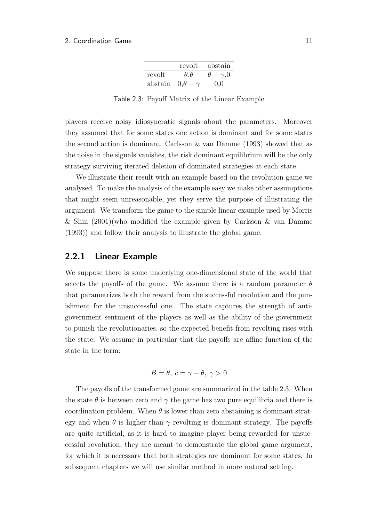|         | revolt              | abstain              |
|---------|---------------------|----------------------|
| revolt  | $\theta, \theta$    | $\theta - \gamma, 0$ |
| abstain | $0.\theta - \gamma$ | 0.0                  |

Table 2.3: Payoff Matrix of the Linear Example

<span id="page-19-1"></span>players receive noisy idiosyncratic signals about the parameters. Moreover they assumed that for some states one action is dominant and for some states the second action is dominant. [Carlsson & van Damme](#page-62-2) [\(1993\)](#page-62-2) showed that as the noise in the signals vanishes, the risk dominant equilibrium will be the only strategy surviving iterated deletion of dominated strategies at each state.

We illustrate their result with an example based on the revolution game we analysed. To make the analysis of the example easy we make other assumptions that might seem unreasonable, yet they serve the purpose of illustrating the argument. We transform the game to the simple linear example used by [Morris](#page-63-2) [& Shin](#page-63-2) [\(2001\)](#page-63-2)(who modified the example given by [Carlsson & van Damme](#page-62-2) [\(1993\)](#page-62-2)) and follow their analysis to illustrate the global game.

#### <span id="page-19-0"></span>2.2.1 Linear Example

We suppose there is some underlying one-dimensional state of the world that selects the payoffs of the game. We assume there is a random parameter  $\theta$ that parametrizes both the reward from the successful revolution and the punishment for the unsuccessful one. The state captures the strength of antigovernment sentiment of the players as well as the ability of the government to punish the revolutionaries, so the expected benefit from revolting rises with the state. We assume in particular that the payoffs are affine function of the state in the form:

$$
B = \theta, \ c = \gamma - \theta, \ \gamma > 0
$$

The payoffs of the transformed game are summarized in the table [2.3.](#page-19-1) When the state  $\theta$  is between zero and  $\gamma$  the game has two pure equilibria and there is coordination problem. When  $\theta$  is lower than zero abstaining is dominant strategy and when  $\theta$  is higher than  $\gamma$  revolting is dominant strategy. The payoffs are quite artificial, as it is hard to imagine player being rewarded for unsuccessful revolution, they are meant to demonstrate the global game argument, for which it is necessary that both strategies are dominant for some states. In subsequent chapters we will use similar method in more natural setting.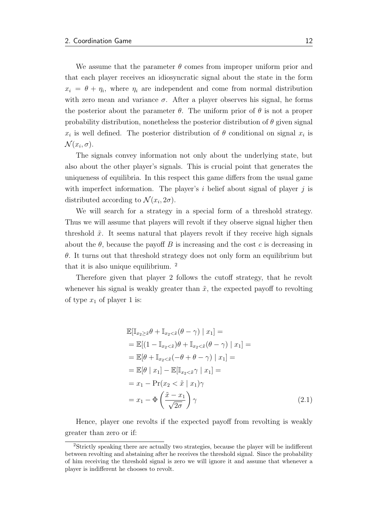We assume that the parameter  $\theta$  comes from improper uniform prior and that each player receives an idiosyncratic signal about the state in the form  $x_i = \theta + \eta_i$ , where  $\eta_i$  are independent and come from normal distribution with zero mean and variance  $\sigma$ . After a player observes his signal, he forms the posterior about the parameter  $\theta$ . The uniform prior of  $\theta$  is not a proper probability distribution, nonetheless the posterior distribution of  $\theta$  given signal  $x_i$  is well defined. The posterior distribution of  $\theta$  conditional on signal  $x_i$  is  $\mathcal{N}(x_i, \sigma).$ 

The signals convey information not only about the underlying state, but also about the other player's signals. This is crucial point that generates the uniqueness of equilibria. In this respect this game differs from the usual game with imperfect information. The player's i belief about signal of player j is distributed according to  $\mathcal{N}(x_i, 2\sigma)$ .

We will search for a strategy in a special form of a threshold strategy. Thus we will assume that players will revolt if they observe signal higher then threshold  $\tilde{x}$ . It seems natural that players revolt if they receive high signals about the  $\theta$ , because the payoff B is increasing and the cost c is decreasing in  $\theta$ . It turns out that threshold strategy does not only form an equilibrium but that it is also unique equilibrium. [2](#page-20-0)

Therefore given that player 2 follows the cutoff strategy, that he revolt whenever his signal is weakly greater than  $\tilde{x}$ , the expected payoff to revolting of type  $x_1$  of player 1 is:

<span id="page-20-1"></span>
$$
\mathbb{E}[\mathbb{I}_{x_2 \geq \tilde{x}} \theta + \mathbb{I}_{x_2 < \tilde{x}} (\theta - \gamma) \mid x_1] =
$$
\n
$$
= \mathbb{E}[(1 - \mathbb{I}_{x_2 < \tilde{x}}) \theta + \mathbb{I}_{x_2 < \tilde{x}} (\theta - \gamma) \mid x_1] =
$$
\n
$$
= \mathbb{E}[\theta + \mathbb{I}_{x_2 < \tilde{x}} (-\theta + \theta - \gamma) \mid x_1] =
$$
\n
$$
= \mathbb{E}[\theta \mid x_1] - \mathbb{E}[\mathbb{I}_{x_2 < \tilde{x}} \gamma \mid x_1] =
$$
\n
$$
= x_1 - \Pr(x_2 < \tilde{x} \mid x_1) \gamma
$$
\n
$$
= x_1 - \Phi\left(\frac{\tilde{x} - x_1}{\sqrt{2\sigma}}\right) \gamma \tag{2.1}
$$

Hence, player one revolts if the expected payoff from revolting is weakly greater than zero or if:

<span id="page-20-0"></span><sup>2</sup>Strictly speaking there are actually two strategies, because the player will be indifferent between revolting and abstaining after he receives the threshold signal. Since the probability of him receiving the threshold signal is zero we will ignore it and assume that whenever a player is indifferent he chooses to revolt.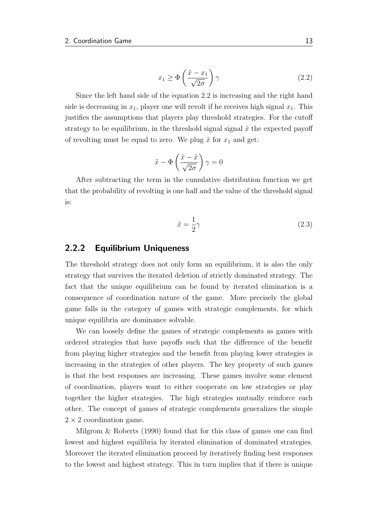<span id="page-21-1"></span>
$$
x_1 \ge \Phi\left(\frac{\tilde{x} - x_1}{\sqrt{2\sigma}}\right) \gamma \tag{2.2}
$$

Since the left hand side of the equation [2.2](#page-21-1) is increasing and the right hand side is decreasing in  $x_1$ , player one will revolt if he receives high signal  $x_1$ . This justifies the assumptions that players play threshold strategies. For the cutoff strategy to be equilibrium, in the threshold signal signal  $\tilde{x}$  the expected payoff of revolting must be equal to zero. We plug  $\tilde{x}$  for  $x_1$  and get:

$$
\tilde{x} - \Phi\left(\frac{\tilde{x} - \tilde{x}}{\sqrt{2\sigma}}\right)\gamma = 0
$$

After subtracting the term in the cumulative distribution function we get that the probability of revolting is one half and the value of the threshold signal is:

$$
\tilde{x} = \frac{1}{2}\gamma\tag{2.3}
$$

#### <span id="page-21-0"></span>2.2.2 Equilibrium Uniqueness

The threshold strategy does not only form an equilibrium, it is also the only strategy that survives the iterated deletion of strictly dominated strategy. The fact that the unique equilibrium can be found by iterated elimination is a consequence of coordination nature of the game. More precisely the global game falls in the category of games with strategic complements, for which unique equilibria are dominance solvable.

We can loosely define the games of strategic complements as games with ordered strategies that have payoffs such that the difference of the benefit from playing higher strategies and the benefit from playing lower strategies is increasing in the strategies of other players. The key property of such games is that the best responses are increasing. These games involve some element of coordination, players want to either cooperate on low strategies or play together the higher strategies. The high strategies mutually reinforce each other. The concept of games of strategic complements generalizes the simple  $2 \times 2$  coordination game.

Milgrom  $\&$  Roberts [\(1990\)](#page-63-3) found that for this class of games one can find lowest and highest equilibria by iterated elimination of dominated strategies. Moreover the iterated elimination proceed by iteratively finding best responses to the lowest and highest strategy. This in turn implies that if there is unique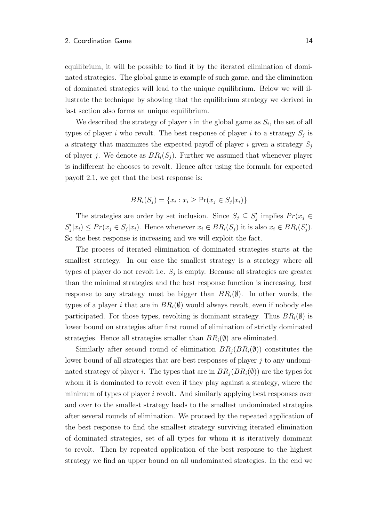equilibrium, it will be possible to find it by the iterated elimination of dominated strategies. The global game is example of such game, and the elimination of dominated strategies will lead to the unique equilibrium. Below we will illustrate the technique by showing that the equilibrium strategy we derived in last section also forms an unique equilibrium.

We described the strategy of player  $i$  in the global game as  $S_i$ , the set of all types of player i who revolt. The best response of player i to a strategy  $S_j$  is a strategy that maximizes the expected payoff of player i given a strategy  $S_j$ of player j. We denote as  $BR<sub>i</sub>(S<sub>i</sub>)$ . Further we assumed that whenever player is indifferent he chooses to revolt. Hence after using the formula for expected payoff [2.1,](#page-20-1) we get that the best response is:

$$
BR_i(S_j) = \{x_i : x_i \ge \Pr(x_j \in S_j | x_i)\}
$$

The strategies are order by set inclusion. Since  $S_j \subseteq S'_j$  implies  $Pr(x_j \in S_j)$  $S'_j|x_i) \le Pr(x_j \in S_j|x_i)$ . Hence whenever  $x_i \in BR_i(S_j)$  it is also  $x_i \in BR_i(S'_j)$ . So the best response is increasing and we will exploit the fact.

The process of iterated elimination of dominated strategies starts at the smallest strategy. In our case the smallest strategy is a strategy where all types of player do not revolt i.e.  $S_j$  is empty. Because all strategies are greater than the minimal strategies and the best response function is increasing, best response to any strategy must be bigger than  $BR_i(\emptyset)$ . In other words, the types of a player i that are in  $BR_i(\emptyset)$  would always revolt, even if nobody else participated. For those types, revolting is dominant strategy. Thus  $BR_i(\emptyset)$  is lower bound on strategies after first round of elimination of strictly dominated strategies. Hence all strategies smaller than  $BR_i(\emptyset)$  are eliminated.

Similarly after second round of elimination  $BR_i(BR_i(\emptyset))$  constitutes the lower bound of all strategies that are best responses of player j to any undominated strategy of player i. The types that are in  $BR_i(BR_i(\emptyset))$  are the types for whom it is dominated to revolt even if they play against a strategy, where the minimum of types of player i revolt. And similarly applying best responses over and over to the smallest strategy leads to the smallest undominated strategies after several rounds of elimination. We proceed by the repeated application of the best response to find the smallest strategy surviving iterated elimination of dominated strategies, set of all types for whom it is iteratively dominant to revolt. Then by repeated application of the best response to the highest strategy we find an upper bound on all undominated strategies. In the end we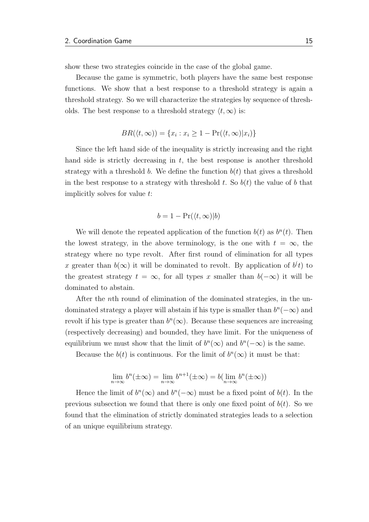show these two strategies coincide in the case of the global game.

Because the game is symmetric, both players have the same best response functions. We show that a best response to a threshold strategy is again a threshold strategy. So we will characterize the strategies by sequence of thresholds. The best response to a threshold strategy  $\langle t, \infty \rangle$  is:

$$
BR(\langle t, \infty \rangle) = \{x_i : x_i \ge 1 - \Pr(\langle t, \infty | x_i \rangle)\}
$$

Since the left hand side of the inequality is strictly increasing and the right hand side is strictly decreasing in  $t$ , the best response is another threshold strategy with a threshold b. We define the function  $b(t)$  that gives a threshold in the best response to a strategy with threshold t. So  $b(t)$  the value of b that implicitly solves for value t:

$$
b = 1 - \Pr(\langle t, \infty | b \rangle)
$$

We will denote the repeated application of the function  $b(t)$  as  $b<sup>n</sup>(t)$ . Then the lowest strategy, in the above terminology, is the one with  $t = \infty$ , the strategy where no type revolt. After first round of elimination for all types x greater than  $b(\infty)$  it will be dominated to revolt. By application of  $b^{(t)}$  to the greatest strategy  $t = \infty$ , for all types x smaller than  $b(-\infty)$  it will be dominated to abstain.

After the nth round of elimination of the dominated strategies, in the undominated strategy a player will abstain if his type is smaller than  $b^{n}(-\infty)$  and revolt if his type is greater than  $b<sup>n</sup>(\infty)$ . Because these sequences are increasing (respectively decreasing) and bounded, they have limit. For the uniqueness of equilibrium we must show that the limit of  $b^{n}(\infty)$  and  $b^{n}(-\infty)$  is the same.

Because the  $b(t)$  is continuous. For the limit of  $b^n(\infty)$  it must be that:

$$
\lim_{n \to \infty} b^n(\pm \infty) = \lim_{n \to \infty} b^{n+1}(\pm \infty) = b(\lim_{n \to \infty} b^n(\pm \infty))
$$

Hence the limit of  $b^n(\infty)$  and  $b^n(-\infty)$  must be a fixed point of  $b(t)$ . In the previous subsection we found that there is only one fixed point of  $b(t)$ . So we found that the elimination of strictly dominated strategies leads to a selection of an unique equilibrium strategy.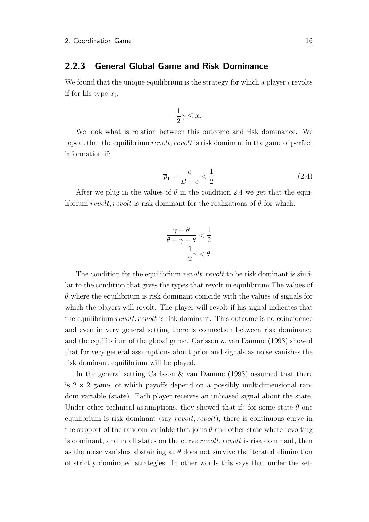#### <span id="page-24-0"></span>2.2.3 General Global Game and Risk Dominance

We found that the unique equilibrium is the strategy for which a player  $i$  revolts if for his type  $x_i$ :

$$
\frac{1}{2}\gamma \le x_i
$$

We look what is relation between this outcome and risk dominance. We repeat that the equilibrium revolt, revolt is risk dominant in the game of perfect information if:

<span id="page-24-1"></span>
$$
\bar{p}_1 = \frac{c}{B+c} < \frac{1}{2} \tag{2.4}
$$

After we plug in the values of  $\theta$  in the condition [2.4](#page-24-1) we get that the equilibrium revolt, revolt is risk dominant for the realizations of  $\theta$  for which:

$$
\frac{\gamma - \theta}{\theta + \gamma - \theta} < \frac{1}{2}
$$
\n
$$
\frac{1}{2}\gamma < \theta
$$

The condition for the equilibrium *revolt*, *revolt* to be risk dominant is similar to the condition that gives the types that revolt in equilibrium The values of  $\theta$  where the equilibrium is risk dominant coincide with the values of signals for which the players will revolt. The player will revolt if his signal indicates that the equilibrium revolt, revolt is risk dominant. This outcome is no coincidence and even in very general setting there is connection between risk dominance and the equilibrium of the global game. [Carlsson & van Damme](#page-62-2) [\(1993\)](#page-62-2) showed that for very general assumptions about prior and signals as noise vanishes the risk dominant equilibrium will be played.

In the general setting [Carlsson & van Damme](#page-62-2) [\(1993\)](#page-62-2) assumed that there is  $2 \times 2$  game, of which payoffs depend on a possibly multidimensional random variable (state). Each player receives an unbiased signal about the state. Under other technical assumptions, they showed that if: for some state  $\theta$  one equilibrium is risk dominant (say *revolt, revolt*), there is continuous curve in the support of the random variable that joins  $\theta$  and other state where revolting is dominant, and in all states on the curve revolt, revolt is risk dominant, then as the noise vanishes abstaining at  $\theta$  does not survive the iterated elimination of strictly dominated strategies. In other words this says that under the set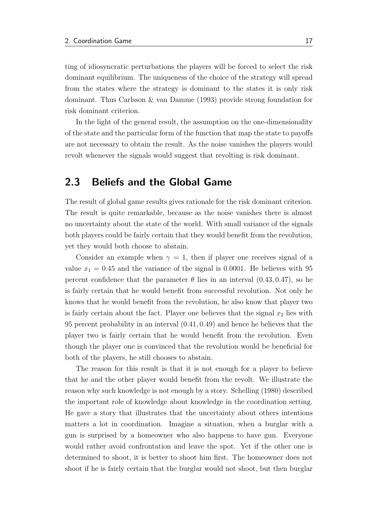ting of idiosyncratic perturbations the players will be forced to select the risk dominant equilibrium. The uniqueness of the choice of the strategy will spread from the states where the strategy is dominant to the states it is only risk dominant. Thus [Carlsson & van Damme](#page-62-2) [\(1993\)](#page-62-2) provide strong foundation for risk dominant criterion.

In the light of the general result, the assumption on the one-dimensionality of the state and the particular form of the function that map the state to payoffs are not necessary to obtain the result. As the noise vanishes the players would revolt whenever the signals would suggest that revolting is risk dominant.

### <span id="page-25-0"></span>2.3 Beliefs and the Global Game

The result of global game results gives rationale for the risk dominant criterion. The result is quite remarkable, because as the noise vanishes there is almost no uncertainty about the state of the world. With small variance of the signals both players could be fairly certain that they would benefit from the revolution, yet they would both choose to abstain.

Consider an example when  $\gamma = 1$ , then if player one receives signal of a value  $x_1 = 0.45$  and the variance of the signal is 0.0001. He believes with 95 percent confidence that the parameter  $\theta$  lies in an interval  $(0.43, 0.47)$ , so he is fairly certain that he would benefit from successful revolution. Not only he knows that he would benefit from the revolution, he also know that player two is fairly certain about the fact. Player one believes that the signal  $x_2$  lies with 95 percent probability in an interval (0.41, 0.49) and hence he believes that the player two is fairly certain that he would benefit from the revolution. Even though the player one is convinced that the revolution would be beneficial for both of the players, he still chooses to abstain.

The reason for this result is that it is not enough for a player to believe that he and the other player would benefit from the revolt. We illustrate the reason why such knowledge is not enough by a story. [Schelling](#page-64-1) [\(1980\)](#page-64-1) described the important role of knowledge about knowledge in the coordination setting. He gave a story that illustrates that the uncertainty about others intentions matters a lot in coordination. Imagine a situation, when a burglar with a gun is surprised by a homeowner who also happens to have gun. Everyone would rather avoid confrontation and leave the spot. Yet if the other one is determined to shoot, it is better to shoot him first. The homeowner does not shoot if he is fairly certain that the burglar would not shoot, but then burglar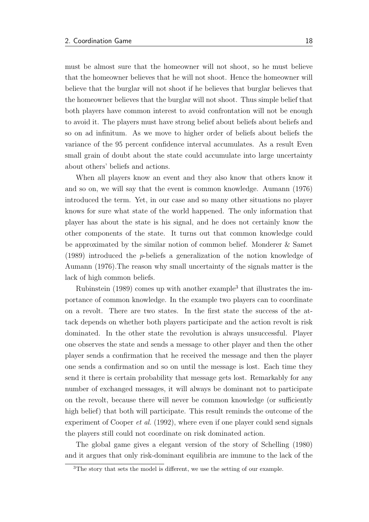must be almost sure that the homeowner will not shoot, so he must believe that the homeowner believes that he will not shoot. Hence the homeowner will believe that the burglar will not shoot if he believes that burglar believes that the homeowner believes that the burglar will not shoot. Thus simple belief that both players have common interest to avoid confrontation will not be enough to avoid it. The players must have strong belief about beliefs about beliefs and so on ad infinitum. As we move to higher order of beliefs about beliefs the variance of the 95 percent confidence interval accumulates. As a result Even small grain of doubt about the state could accumulate into large uncertainty about others' beliefs and actions.

When all players know an event and they also know that others know it and so on, we will say that the event is common knowledge. [Aumann](#page-62-3) [\(1976\)](#page-62-3) introduced the term. Yet, in our case and so many other situations no player knows for sure what state of the world happened. The only information that player has about the state is his signal, and he does not certainly know the other components of the state. It turns out that common knowledge could be approximated by the similar notion of common belief. [Monderer & Samet](#page-63-4) [\(1989\)](#page-63-4) introduced the p-beliefs a generalization of the notion knowledge of [Aumann](#page-62-3) [\(1976\)](#page-62-3).The reason why small uncertainty of the signals matter is the lack of high common beliefs.

[Rubinstein](#page-64-5)  $(1989)$  comes up with another example<sup>[3](#page-26-0)</sup> that illustrates the importance of common knowledge. In the example two players can to coordinate on a revolt. There are two states. In the first state the success of the attack depends on whether both players participate and the action revolt is risk dominated. In the other state the revolution is always unsuccessful. Player one observes the state and sends a message to other player and then the other player sends a confirmation that he received the message and then the player one sends a confirmation and so on until the message is lost. Each time they send it there is certain probability that message gets lost. Remarkably for any number of exchanged messages, it will always be dominant not to participate on the revolt, because there will never be common knowledge (or sufficiently high belief) that both will participate. This result reminds the outcome of the experiment of [Cooper](#page-62-1) *et al.* [\(1992\)](#page-62-1), where even if one player could send signals the players still could not coordinate on risk dominated action.

The global game gives a elegant version of the story of [Schelling](#page-64-1) [\(1980\)](#page-64-1) and it argues that only risk-dominant equilibria are immune to the lack of the

<span id="page-26-0"></span><sup>&</sup>lt;sup>3</sup>The story that sets the model is different, we use the setting of our example.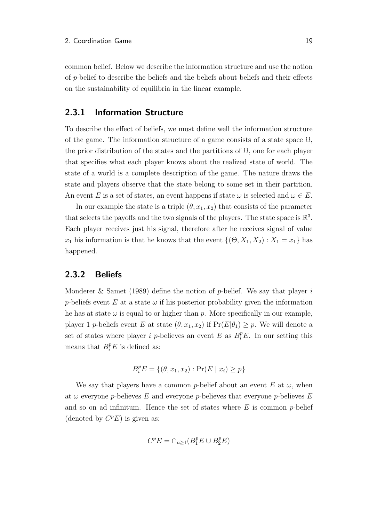common belief. Below we describe the information structure and use the notion of p-belief to describe the beliefs and the beliefs about beliefs and their effects on the sustainability of equilibria in the linear example.

### <span id="page-27-0"></span>2.3.1 Information Structure

To describe the effect of beliefs, we must define well the information structure of the game. The information structure of a game consists of a state space  $\Omega$ , the prior distribution of the states and the partitions of  $\Omega$ , one for each player that specifies what each player knows about the realized state of world. The state of a world is a complete description of the game. The nature draws the state and players observe that the state belong to some set in their partition. An event E is a set of states, an event happens if state  $\omega$  is selected and  $\omega \in E$ .

In our example the state is a triple  $(\theta, x_1, x_2)$  that consists of the parameter that selects the payoffs and the two signals of the players. The state space is  $\mathbb{R}^3$ . Each player receives just his signal, therefore after he receives signal of value  $x_1$  his information is that he knows that the event  $\{(\Theta, X_1, X_2) : X_1 = x_1\}$  has happened.

#### <span id="page-27-1"></span>2.3.2 Beliefs

[Monderer & Samet](#page-63-4) [\(1989\)](#page-63-4) define the notion of p-belief. We say that player i p-beliefs event E at a state  $\omega$  if his posterior probability given the information he has at state  $\omega$  is equal to or higher than p. More specifically in our example, player 1 *p*-beliefs event E at state  $(\theta, x_1, x_2)$  if  $Pr(E|\theta_1) \geq p$ . We will denote a set of states where player *i p*-believes an event E as  $B_i^p E$ . In our setting this means that  $B_i^p E$  is defined as:

$$
B_i^p E = \{ (\theta, x_1, x_2) : \Pr(E \mid x_i) \ge p \}
$$

We say that players have a common p-belief about an event E at  $\omega$ , when at  $\omega$  everyone p-believes E and everyone p-believes that everyone p-believes E and so on ad infinitum. Hence the set of states where  $E$  is common p-belief (denoted by  $C^pE$ ) is given as:

$$
C^p E = \cap_{n \ge 1} (B_1^p E \cup B_2^p E)
$$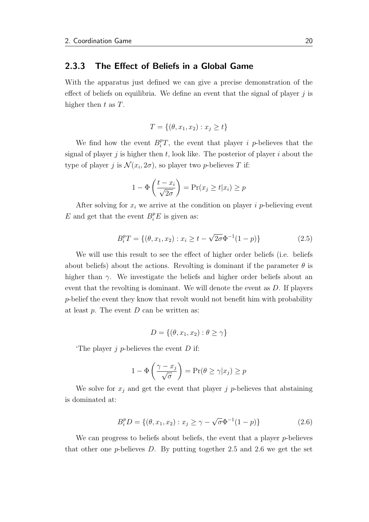#### <span id="page-28-0"></span>2.3.3 The Effect of Beliefs in a Global Game

With the apparatus just defined we can give a precise demonstration of the effect of beliefs on equilibria. We define an event that the signal of player  $j$  is higher then  $t$  as  $T$ .

$$
T = \{ (\theta, x_1, x_2) : x_j \ge t \}
$$

We find how the event  $B_i^p T$ , the event that player *i p*-believes that the signal of player j is higher then t, look like. The posterior of player i about the type of player j is  $\mathcal{N}(x_i, 2\sigma)$ , so player two p-believes T if:

$$
1 - \Phi\left(\frac{t - x_i}{\sqrt{2\sigma}}\right) = \Pr(x_j \ge t | x_i) \ge p
$$

After solving for  $x_i$  we arrive at the condition on player i p-believing event  $E$  and get that the event  $B_i^p E$  is given as:

<span id="page-28-1"></span>
$$
B_i^p T = \{ (\theta, x_1, x_2) : x_i \ge t - \sqrt{2\sigma} \Phi^{-1} (1 - p) \}
$$
 (2.5)

We will use this result to see the effect of higher order beliefs (i.e. beliefs about beliefs) about the actions. Revolting is dominant if the parameter  $\theta$  is higher than  $\gamma$ . We investigate the beliefs and higher order beliefs about an event that the revolting is dominant. We will denote the event as  $D$ . If players p-belief the event they know that revolt would not benefit him with probability at least  $p$ . The event  $D$  can be written as:

$$
D = \{(\theta, x_1, x_2) : \theta \ge \gamma\}
$$

The player  $j$  p-believes the event  $D$  if:

$$
1 - \Phi\left(\frac{\gamma - x_j}{\sqrt{\sigma}}\right) = \Pr(\theta \ge \gamma | x_j) \ge p
$$

We solve for  $x_j$  and get the event that player j p-believes that abstaining is dominated at:

<span id="page-28-2"></span>
$$
B_i^p D = \{ (\theta, x_1, x_2) : x_j \ge \gamma - \sqrt{\sigma} \Phi^{-1} (1 - p) \}
$$
 (2.6)

We can progress to beliefs about beliefs, the event that a player  $p$ -believes that other one p-believes  $D$ . By putting together [2.5](#page-28-1) and [2.6](#page-28-2) we get the set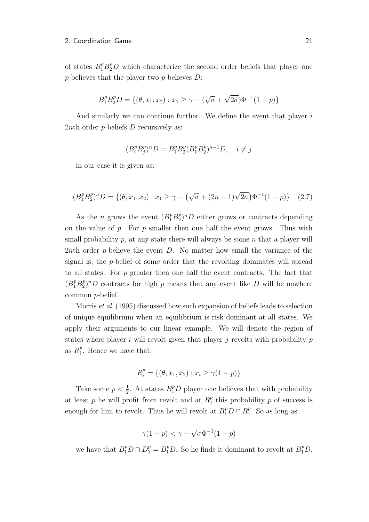of states  $B_1^p B_2^p D$  which characterize the second order beliefs that player one  $p$ -believes that the player two  $p$ -believes  $D$ :

$$
B_1^p B_2^p D = \{ (\theta, x_1, x_2) : x_1 \ge \gamma - (\sqrt{\sigma} + \sqrt{2\sigma}) \Phi^{-1} (1 - p) \}
$$

And similarly we can continue further. We define the event that player is 2*nth* order *p*-beliefs *D* recursively as:

$$
(B_i^p B_j^p)^n D = B_1^p B_2^p (B_1^p B_2^p)^{n-1} D, \quad i \neq j
$$

in our case it is given as:

$$
(B_1^p B_2^p)^n D = \{ (\theta, x_1, x_2) : x_1 \ge \gamma - (\sqrt{\sigma} + (2n - 1)\sqrt{2\sigma}) \Phi^{-1}(1 - p) \} \quad (2.7)
$$

As the *n* grows the event  $(B_1^p B_2^p)$  $^{p}_{2}$ <sup> $^{p}_{2}$ </sup> $^{p}_{2}$  either grows or contracts depending on the value of  $p$ . For  $p$  smaller then one half the event grows. Thus with small probability  $p$ , at any state there will always be some  $n$  that a player will 2nth order p-believe the event  $D$ . No matter how small the variance of the signal is, the p-belief of some order that the revolting dominates will spread to all states. For p greater then one half the event contracts. The fact that  $(B_1^p B_2^p)$  $2^{p}$ <sup>p</sup> $D$  contracts for high p means that any event like D will be nowhere common p-belief.

[Morris](#page-63-5) et al. [\(1995\)](#page-63-5) discussed how such expansion of beliefs leads to selection of unique equilibrium when an equilibrium is risk dominant at all states. We apply their arguments to our linear example. We will denote the region of states where player  $i$  will revolt given that player  $j$  revolts with probability  $p$ as  $R_i^p$  $i<sup>p</sup>$ . Hence we have that:

$$
R_i^p = \{ (\theta, x_1, x_2) : x_i \ge \gamma (1 - p) \}
$$

Take some  $p < \frac{1}{2}$ . At states  $B_1^p D$  player one believes that with probability at least p he will profit from revolt and at  $R_1^p$  $_1^p$  this probability p of success is enough for him to revolt. Thus he will revolt at  $B_1^p D \cap R_1^p$  $_1^p$ . So as long as

$$
\gamma(1-p) < \gamma - \sqrt{\sigma} \Phi^{-1}(1-p)
$$

we have that  $B_1^p D \cap D_1^p = B_1^p D$ . So he finds it dominant to revolt at  $B_1^p D$ .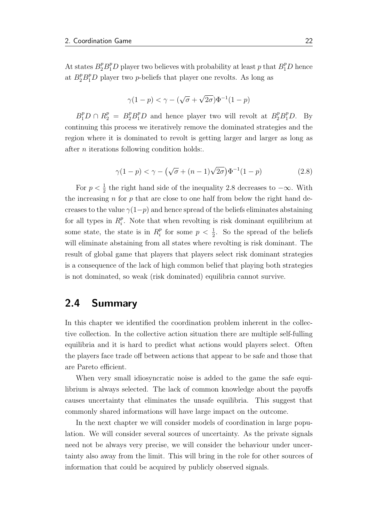At states  $B_2^p B_1^p D$  player two believes with probability at least p that  $B_1^p D$  hence at  $B_2^p B_1^p D$  player two *p*-beliefs that player one revolts. As long as

$$
\gamma(1-p) < \gamma - (\sqrt{\sigma} + \sqrt{2\sigma})\Phi^{-1}(1-p)
$$

 $B_1^p D \cap R_2^p = B_2^p B_1^p D$  and hence player two will revolt at  $B_2^p B_1^p D$ . By continuing this process we iteratively remove the dominated strategies and the region where it is dominated to revolt is getting larger and larger as long as after n iterations following condition holds:.

<span id="page-30-1"></span>
$$
\gamma(1-p) < \gamma - \left(\sqrt{\sigma} + (n-1)\sqrt{2\sigma}\right) \Phi^{-1}(1-p) \tag{2.8}
$$

For  $p < \frac{1}{2}$  the right hand side of the inequality [2.8](#page-30-1) decreases to  $-\infty$ . With the increasing  $n$  for  $p$  that are close to one half from below the right hand decreases to the value  $\gamma(1-p)$  and hence spread of the beliefs eliminates abstaining for all types in  $R_i^p$  $i<sup>p</sup>$ . Note that when revolting is risk dominant equilibrium at some state, the state is in  $R_i^p$  $\frac{p}{i}$  for some  $p < \frac{1}{2}$ . So the spread of the beliefs will eliminate abstaining from all states where revolting is risk dominant. The result of global game that players that players select risk dominant strategies is a consequence of the lack of high common belief that playing both strategies is not dominated, so weak (risk dominated) equilibria cannot survive.

### <span id="page-30-0"></span>2.4 Summary

In this chapter we identified the coordination problem inherent in the collective collection. In the collective action situation there are multiple self-fulling equilibria and it is hard to predict what actions would players select. Often the players face trade off between actions that appear to be safe and those that are Pareto efficient.

When very small idiosyncratic noise is added to the game the safe equilibrium is always selected. The lack of common knowledge about the payoffs causes uncertainty that eliminates the unsafe equilibria. This suggest that commonly shared informations will have large impact on the outcome.

In the next chapter we will consider models of coordination in large population. We will consider several sources of uncertainty. As the private signals need not be always very precise, we will consider the behaviour under uncertainty also away from the limit. This will bring in the role for other sources of information that could be acquired by publicly observed signals.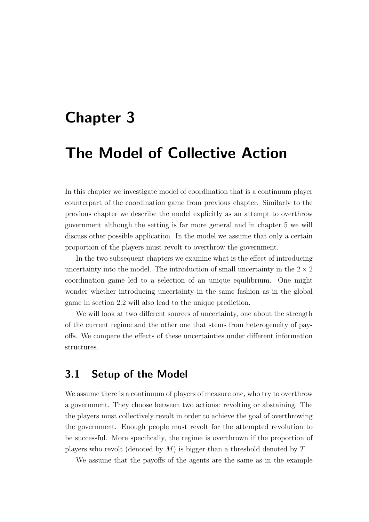## <span id="page-31-0"></span>Chapter 3

## The Model of Collective Action

In this chapter we investigate model of coordination that is a continuum player counterpart of the coordination game from previous chapter. Similarly to the previous chapter we describe the model explicitly as an attempt to overthrow government although the setting is far more general and in chapter [5](#page-56-0) we will discuss other possible application. In the model we assume that only a certain proportion of the players must revolt to overthrow the government.

In the two subsequent chapters we examine what is the effect of introducing uncertainty into the model. The introduction of small uncertainty in the  $2 \times 2$ coordination game led to a selection of an unique equilibrium. One might wonder whether introducing uncertainty in the same fashion as in the global game in section [2.2](#page-18-0) will also lead to the unique prediction.

We will look at two different sources of uncertainty, one about the strength of the current regime and the other one that stems from heterogeneity of payoffs. We compare the effects of these uncertainties under different information structures.

### <span id="page-31-1"></span>3.1 Setup of the Model

We assume there is a continuum of players of measure one, who try to overthrow a government. They choose between two actions: revolting or abstaining. The the players must collectively revolt in order to achieve the goal of overthrowing the government. Enough people must revolt for the attempted revolution to be successful. More specifically, the regime is overthrown if the proportion of players who revolt (denoted by  $M$ ) is bigger than a threshold denoted by  $T$ .

We assume that the payoffs of the agents are the same as in the example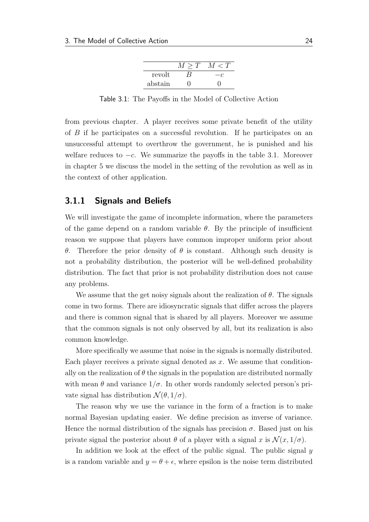|         | $\langle T' \rangle$ |
|---------|----------------------|
| revolt  |                      |
| abstain |                      |

<span id="page-32-1"></span>Table 3.1: The Payoffs in the Model of Collective Action

from previous chapter. A player receives some private benefit of the utility of B if he participates on a successful revolution. If he participates on an unsuccessful attempt to overthrow the government, he is punished and his welfare reduces to  $-c$ . We summarize the payoffs in the table [3.1.](#page-32-1) Moreover in chapter [5](#page-56-0) we discuss the model in the setting of the revolution as well as in the context of other application.

#### <span id="page-32-0"></span>3.1.1 Signals and Beliefs

We will investigate the game of incomplete information, where the parameters of the game depend on a random variable  $\theta$ . By the principle of insufficient reason we suppose that players have common improper uniform prior about θ. Therefore the prior density of θ is constant. Although such density is not a probability distribution, the posterior will be well-defined probability distribution. The fact that prior is not probability distribution does not cause any problems.

We assume that the get noisy signals about the realization of  $\theta$ . The signals come in two forms. There are idiosyncratic signals that differ across the players and there is common signal that is shared by all players. Moreover we assume that the common signals is not only observed by all, but its realization is also common knowledge.

More specifically we assume that noise in the signals is normally distributed. Each player receives a private signal denoted as  $x$ . We assume that conditionally on the realization of  $\theta$  the signals in the population are distributed normally with mean  $\theta$  and variance  $1/\sigma$ . In other words randomly selected person's private signal has distribution  $\mathcal{N}(\theta, 1/\sigma)$ .

The reason why we use the variance in the form of a fraction is to make normal Bayesian updating easier. We define precision as inverse of variance. Hence the normal distribution of the signals has precision  $\sigma$ . Based just on his private signal the posterior about  $\theta$  of a player with a signal x is  $\mathcal{N}(x, 1/\sigma)$ .

In addition we look at the effect of the public signal. The public signal y is a random variable and  $y = \theta + \epsilon$ , where epsilon is the noise term distributed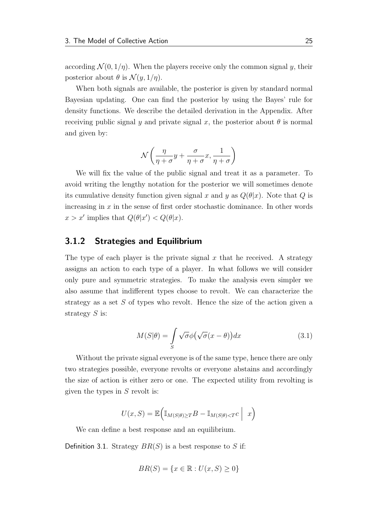according  $\mathcal{N}(0, 1/\eta)$ . When the players receive only the common signal y, their posterior about  $\theta$  is  $\mathcal{N}(y, 1/\eta)$ .

When both signals are available, the posterior is given by standard normal Bayesian updating. One can find the posterior by using the Bayes' rule for density functions. We describe the detailed derivation in the Appendix. After receiving public signal y and private signal x, the posterior about  $\theta$  is normal and given by:

$$
\mathcal{N}\left(\frac{\eta}{\eta+\sigma}y+\frac{\sigma}{\eta+\sigma}x,\frac{1}{\eta+\sigma}\right)
$$

We will fix the value of the public signal and treat it as a parameter. To avoid writing the lengthy notation for the posterior we will sometimes denote its cumulative density function given signal x and y as  $Q(\theta|x)$ . Note that Q is increasing in  $x$  in the sense of first order stochastic dominance. In other words  $x > x'$  implies that  $Q(\theta|x') < Q(\theta|x)$ .

### <span id="page-33-0"></span>3.1.2 Strategies and Equilibrium

The type of each player is the private signal  $x$  that he received. A strategy assigns an action to each type of a player. In what follows we will consider only pure and symmetric strategies. To make the analysis even simpler we also assume that indifferent types choose to revolt. We can characterize the strategy as a set S of types who revolt. Hence the size of the action given a strategy  $S$  is:

$$
M(S|\theta) = \int_{S} \sqrt{\sigma} \phi \big(\sqrt{\sigma} (x - \theta)\big) dx \tag{3.1}
$$

Without the private signal everyone is of the same type, hence there are only two strategies possible, everyone revolts or everyone abstains and accordingly the size of action is either zero or one. The expected utility from revolting is given the types in  $S$  revolt is:

$$
U(x, S) = \mathbb{E}\Big(\mathbb{I}_{M(S|\theta) \ge T}B - \mathbb{I}_{M(S|\theta) < T}C \Big| x\Big)
$$

We can define a best response and an equilibrium.

Definition 3.1. Strategy  $BR(S)$  is a best response to S if:

$$
BR(S) = \{ x \in \mathbb{R} : U(x, S) \ge 0 \}
$$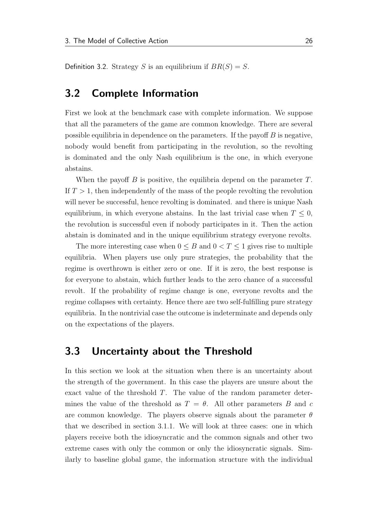Definition 3.2. Strategy S is an equilibrium if  $BR(S) = S$ .

### <span id="page-34-0"></span>3.2 Complete Information

First we look at the benchmark case with complete information. We suppose that all the parameters of the game are common knowledge. There are several possible equilibria in dependence on the parameters. If the payoff  $B$  is negative, nobody would benefit from participating in the revolution, so the revolting is dominated and the only Nash equilibrium is the one, in which everyone abstains.

When the payoff  $B$  is positive, the equilibria depend on the parameter  $T$ . If  $T > 1$ , then independently of the mass of the people revolting the revolution will never be successful, hence revolting is dominated. and there is unique Nash equilibrium, in which everyone abstains. In the last trivial case when  $T \leq 0$ , the revolution is successful even if nobody participates in it. Then the action abstain is dominated and in the unique equilibrium strategy everyone revolts.

The more interesting case when  $0 \leq B$  and  $0 < T \leq 1$  gives rise to multiple equilibria. When players use only pure strategies, the probability that the regime is overthrown is either zero or one. If it is zero, the best response is for everyone to abstain, which further leads to the zero chance of a successful revolt. If the probability of regime change is one, everyone revolts and the regime collapses with certainty. Hence there are two self-fulfilling pure strategy equilibria. In the nontrivial case the outcome is indeterminate and depends only on the expectations of the players.

## <span id="page-34-1"></span>3.3 Uncertainty about the Threshold

In this section we look at the situation when there is an uncertainty about the strength of the government. In this case the players are unsure about the exact value of the threshold T. The value of the random parameter determines the value of the threshold as  $T = \theta$ . All other parameters B and c are common knowledge. The players observe signals about the parameter  $\theta$ that we described in section [3.1.1.](#page-32-0) We will look at three cases: one in which players receive both the idiosyncratic and the common signals and other two extreme cases with only the common or only the idiosyncratic signals. Similarly to baseline global game, the information structure with the individual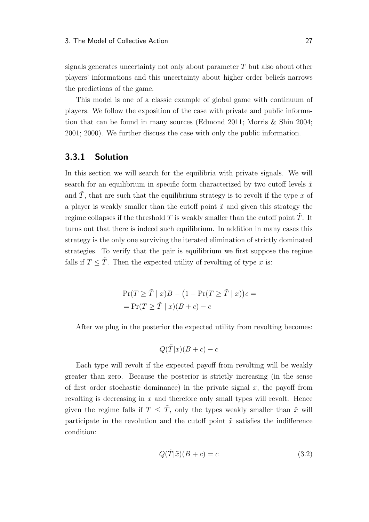signals generates uncertainty not only about parameter  $T$  but also about other players' informations and this uncertainty about higher order beliefs narrows the predictions of the game.

This model is one of a classic example of global game with continuum of players. We follow the exposition of the case with private and public information that can be found in many sources [\(Edmond](#page-63-6) [2011;](#page-63-6) [Morris & Shin](#page-63-7) [2004;](#page-63-7) [2001;](#page-63-2) [2000\)](#page-63-8). We further discuss the case with only the public information.

#### <span id="page-35-0"></span>3.3.1 Solution

In this section we will search for the equilibria with private signals. We will search for an equilibrium in specific form characterized by two cutoff levels  $\tilde{x}$ and  $\tilde{T}$ , that are such that the equilibrium strategy is to revolt if the type x of a player is weakly smaller than the cutoff point  $\tilde{x}$  and given this strategy the regime collapses if the threshold  $T$  is weakly smaller than the cutoff point  $T$ . It turns out that there is indeed such equilibrium. In addition in many cases this strategy is the only one surviving the iterated elimination of strictly dominated strategies. To verify that the pair is equilibrium we first suppose the regime falls if  $T \leq T$ . Then the expected utility of revolting of type x is:

$$
\Pr(T \geq \tilde{T} \mid x)B - (1 - \Pr(T \geq \tilde{T} \mid x))c =
$$
  
= 
$$
\Pr(T \geq \tilde{T} \mid x)(B + c) - c
$$

After we plug in the posterior the expected utility from revolting becomes:

$$
Q(\tilde{T}|x)(B+c) - c
$$

Each type will revolt if the expected payoff from revolting will be weakly greater than zero. Because the posterior is strictly increasing (in the sense of first order stochastic dominance) in the private signal  $x$ , the payoff from revolting is decreasing in  $x$  and therefore only small types will revolt. Hence given the regime falls if  $T \leq \tilde{T}$ , only the types weakly smaller than  $\tilde{x}$  will participate in the revolution and the cutoff point  $\tilde{x}$  satisfies the indifference condition:

$$
Q(\tilde{T}|\tilde{x})(B+c) = c \tag{3.2}
$$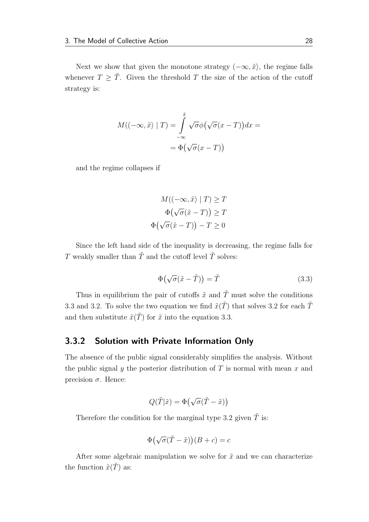Next we show that given the monotone strategy  $(-\infty, \tilde{x})$ , the regime falls whenever  $T \geq \tilde{T}$ . Given the threshold T the size of the action of the cutoff strategy is:

$$
M((-\infty, \tilde{x}) | T) = \int_{-\infty}^{\tilde{x}} \sqrt{\sigma} \phi(\sqrt{\sigma}(x - T)) dx =
$$

$$
= \Phi(\sqrt{\sigma}(x - T))
$$

and the regime collapses if

$$
M((-\infty, \tilde{x}) | T) \geq T
$$

$$
\Phi(\sqrt{\sigma}(\tilde{x} - T)) \geq T
$$

$$
\Phi(\sqrt{\sigma}(\tilde{x} - T)) - T \geq 0
$$

Since the left hand side of the inequality is decreasing, the regime falls for  $T$  weakly smaller than  $\tilde{T}$  and the cutoff level  $\tilde{T}$  solves:

<span id="page-36-0"></span>
$$
\Phi(\sqrt{\sigma}(\tilde{x} - \tilde{T})) = \tilde{T} \tag{3.3}
$$

Thus in equilibrium the pair of cutoffs  $\tilde{x}$  and  $\tilde{T}$  must solve the conditions [3.3](#page-36-0) and [3.2.](#page-35-0) To solve the two equation we find  $\tilde{x}(\tilde{T})$  that solves [3.2](#page-35-0) for each  $\tilde{T}$ and then substitute  $\tilde{x}(\tilde{T})$  for  $\tilde{x}$  into the equation [3.3.](#page-36-0)

#### <span id="page-36-1"></span>3.3.2 Solution with Private Information Only

The absence of the public signal considerably simplifies the analysis. Without the public signal  $y$  the posterior distribution of  $T$  is normal with mean  $x$  and precision σ. Hence:

$$
Q(\tilde{T}|\tilde{x}) = \Phi(\sqrt{\sigma}(\tilde{T} - \tilde{x}))
$$

Therefore the condition for the marginal type [3.2](#page-35-0) given  $\tilde{T}$  is:

$$
\Phi(\sqrt{\sigma}(\tilde{T} - \tilde{x}))(B + c) = c
$$

After some algebraic manipulation we solve for  $\tilde{x}$  and we can characterize the function  $\tilde{x}(T)$  as: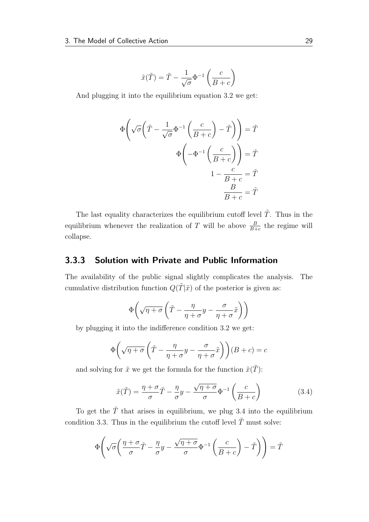$$
\tilde{x}(\tilde{T}) = \tilde{T} - \frac{1}{\sqrt{\sigma}} \Phi^{-1} \left( \frac{c}{B + c} \right)
$$

And plugging it into the equilibrium equation [3.2](#page-35-0) we get:

$$
\Phi\left(\sqrt{\sigma}\left(\tilde{T} - \frac{1}{\sqrt{\sigma}}\Phi^{-1}\left(\frac{c}{B+c}\right) - \tilde{T}\right)\right) = \tilde{T}
$$

$$
\Phi\left(-\Phi^{-1}\left(\frac{c}{B+c}\right)\right) = \tilde{T}
$$

$$
1 - \frac{c}{B+c} = \tilde{T}
$$

$$
\frac{B}{B+c} = \tilde{T}
$$

The last equality characterizes the equilibrium cutoff level  $\tilde{T}$ . Thus in the equilibrium whenever the realization of T will be above  $\frac{B}{B+c}$  the regime will collapse.

### 3.3.3 Solution with Private and Public Information

The availability of the public signal slightly complicates the analysis. The cumulative distribution function  $Q(T|\tilde{x})$  of the posterior is given as:

$$
\Phi\bigg(\sqrt{\eta+\sigma}\left(\tilde{T}-\frac{\eta}{\eta+\sigma}y-\frac{\sigma}{\eta+\sigma}\tilde{x}\right)\bigg)
$$

by plugging it into the indifference condition [3.2](#page-35-0) we get:

$$
\Phi\left(\sqrt{\eta+\sigma}\left(\tilde{T}-\frac{\eta}{\eta+\sigma}y-\frac{\sigma}{\eta+\sigma}\tilde{x}\right)\right)(B+c)=c
$$

and solving for  $\tilde{x}$  we get the formula for the function  $\tilde{x}(\tilde{T})$ :

<span id="page-37-0"></span>
$$
\tilde{x}(\tilde{T}) = \frac{\eta + \sigma}{\sigma}\tilde{T} - \frac{\eta}{\sigma}y - \frac{\sqrt{\eta + \sigma}}{\sigma}\Phi^{-1}\left(\frac{c}{B + c}\right)
$$
\n(3.4)

To get the  $\tilde{T}$  that arises in equilibrium, we plug [3.4](#page-37-0) into the equilibrium condition [3.3.](#page-36-0) Thus in the equilibrium the cutoff level  $\tilde{T}$  must solve:

$$
\Phi\left(\sqrt{\sigma}\left(\frac{\eta+\sigma}{\sigma}\tilde{T}-\frac{\eta}{\sigma}y-\frac{\sqrt{\eta+\sigma}}{\sigma}\Phi^{-1}\left(\frac{c}{B+c}\right)-\tilde{T}\right)\right)=\tilde{T}
$$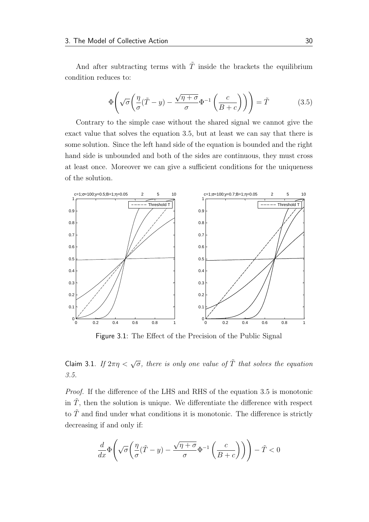And after subtracting terms with  $\tilde{T}$  inside the brackets the equilibrium condition reduces to:

<span id="page-38-0"></span>
$$
\Phi\left(\sqrt{\sigma}\left(\frac{\eta}{\sigma}(\tilde{T}-y) - \frac{\sqrt{\eta + \sigma}}{\sigma}\Phi^{-1}\left(\frac{c}{B+c}\right)\right)\right) = \tilde{T}
$$
\n(3.5)

Contrary to the simple case without the shared signal we cannot give the exact value that solves the equation [3.5,](#page-38-0) but at least we can say that there is some solution. Since the left hand side of the equation is bounded and the right hand side is unbounded and both of the sides are continuous, they must cross at least once. Moreover we can give a sufficient conditions for the uniqueness of the solution.

<span id="page-38-2"></span>

Figure 3.1: The Effect of the Precision of the Public Signal

## Claim 3.1. If  $2\pi\eta < \sqrt{\sigma}$ , there is only one value of  $\tilde{T}$  that solves the equation [3.5.](#page-38-0)

Proof. If the difference of the LHS and RHS of the equation [3.5](#page-38-0) is monotonic in  $\tilde{T}$ , then the solution is unique. We differentiate the difference with respect to  $\tilde{T}$  and find under what conditions it is monotonic. The difference is strictly decreasing if and only if:

<span id="page-38-1"></span>
$$
\frac{d}{dx}\Phi\Biggl(\sqrt{\sigma}\biggl(\frac{\eta}{\sigma}(\tilde{T}-y)-\frac{\sqrt{\eta+\sigma}}{\sigma}\Phi^{-1}\left(\frac{c}{B+c}\right)\biggr)\Biggr)-\tilde{T}<0
$$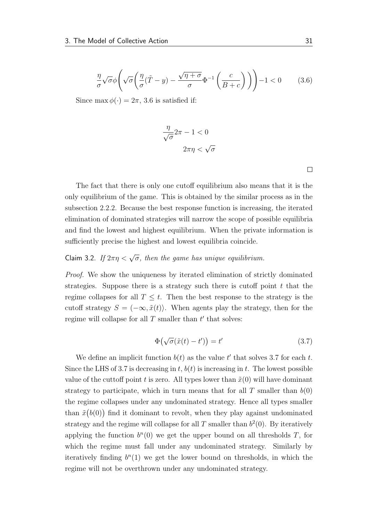$$
\frac{\eta}{\sigma}\sqrt{\sigma}\phi\left(\sqrt{\sigma}\left(\frac{\eta}{\sigma}(\tilde{T}-y) - \frac{\sqrt{\eta+\sigma}}{\sigma}\Phi^{-1}\left(\frac{c}{B+c}\right)\right)\right) - 1 < 0 \tag{3.6}
$$

Since max  $\phi(\cdot) = 2\pi$ , [3.6](#page-38-1) is satisfied if:

$$
\frac{\eta}{\sqrt{\sigma}} 2\pi - 1 < 0
$$
\n
$$
2\pi \eta < \sqrt{\sigma}
$$

 $\Box$ 

The fact that there is only one cutoff equilibrium also means that it is the only equilibrium of the game. This is obtained by the similar process as in the subsection [2.2.2.](#page-21-0) Because the best response function is increasing, the iterated elimination of dominated strategies will narrow the scope of possible equilibria and find the lowest and highest equilibrium. When the private information is sufficiently precise the highest and lowest equilibria coincide.

## Claim 3.2. If  $2\pi\eta < \sqrt{\sigma}$ , then the game has unique equilibrium.

Proof. We show the uniqueness by iterated elimination of strictly dominated strategies. Suppose there is a strategy such there is cutoff point  $t$  that the regime collapses for all  $T \leq t$ . Then the best response to the strategy is the cutoff strategy  $S = (-\infty, \tilde{x}(t))$ . When agents play the strategy, then for the regime will collapse for all  $T$  smaller than  $t'$  that solves:

<span id="page-39-0"></span>
$$
\Phi\big(\sqrt{\sigma}(\tilde{x}(t) - t')\big) = t'\tag{3.7}
$$

We define an implicit function  $b(t)$  as the value t' that solves [3.7](#page-39-0) for each t. Since the LHS of [3.7](#page-39-0) is decreasing in t,  $b(t)$  is increasing in t. The lowest possible value of the cuttoff point t is zero. All types lower than  $\tilde{x}(0)$  will have dominant strategy to participate, which in turn means that for all T smaller than  $b(0)$ the regime collapses under any undominated strategy. Hence all types smaller than  $\tilde{x}(b(0))$  find it dominant to revolt, when they play against undominated strategy and the regime will collapse for all  $T$  smaller than  $b<sup>2</sup>(0)$ . By iteratively applying the function  $b^n(0)$  we get the upper bound on all thresholds T, for which the regime must fall under any undominated strategy. Similarly by iteratively finding  $b^n(1)$  we get the lower bound on thresholds, in which the regime will not be overthrown under any undominated strategy.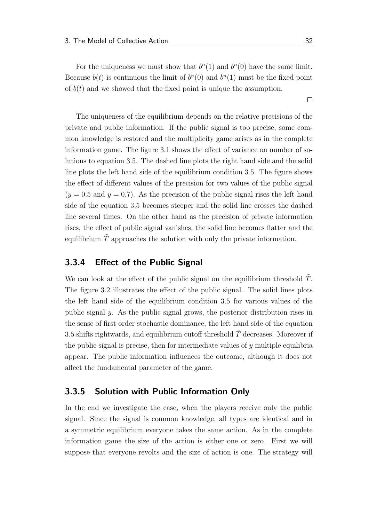For the uniqueness we must show that  $b<sup>n</sup>(1)$  and  $b<sup>n</sup>(0)$  have the same limit. Because  $b(t)$  is continuous the limit of  $b<sup>n</sup>(0)$  and  $b<sup>n</sup>(1)$  must be the fixed point of  $b(t)$  and we showed that the fixed point is unique the assumption.

The uniqueness of the equilibrium depends on the relative precisions of the private and public information. If the public signal is too precise, some common knowledge is restored and the multiplicity game arises as in the complete information game. The figure [3.1](#page-38-2) shows the effect of variance on number of solutions to equation [3.5.](#page-38-0) The dashed line plots the right hand side and the solid line plots the left hand side of the equilibrium condition [3.5.](#page-38-0) The figure shows the effect of different values of the precision for two values of the public signal  $(y = 0.5$  and  $y = 0.7$ ). As the precision of the public signal rises the left hand side of the equation [3.5](#page-38-0) becomes steeper and the solid line crosses the dashed line several times. On the other hand as the precision of private information rises, the effect of public signal vanishes, the solid line becomes flatter and the equilibrium  $\tilde{T}$  approaches the solution with only the private information.

#### 3.3.4 Effect of the Public Signal

We can look at the effect of the public signal on the equilibrium threshold  $T$ . The figure [3.2](#page-41-0) illustrates the effect of the public signal. The solid lines plots the left hand side of the equilibrium condition [3.5](#page-38-0) for various values of the public signal  $y$ . As the public signal grows, the posterior distribution rises in the sense of first order stochastic dominance, the left hand side of the equation [3.5](#page-38-0) shifts rightwards, and equilibrium cutoff threshold  $T$  decreases. Moreover if the public signal is precise, then for intermediate values of  $y$  multiple equilibria appear. The public information influences the outcome, although it does not affect the fundamental parameter of the game.

### <span id="page-40-0"></span>3.3.5 Solution with Public Information Only

In the end we investigate the case, when the players receive only the public signal. Since the signal is common knowledge, all types are identical and in a symmetric equilibrium everyone takes the same action. As in the complete information game the size of the action is either one or zero. First we will suppose that everyone revolts and the size of action is one. The strategy will

 $\Box$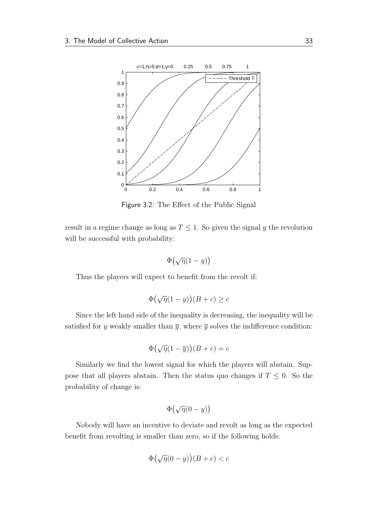<span id="page-41-0"></span>

Figure 3.2: The Effect of the Public Signal

result in a regime change as long as  $T \leq 1$ . So given the signal y the revolution will be successful with probability:

$$
\Phi\big(\sqrt{\eta}(1-y)\big)
$$

Thus the players will expect to benefit from the revolt if:

$$
\Phi\big(\sqrt{\eta}(1-y)\big)(B+c) \ge c
$$

Since the left hand side of the inequality is decreasing, the inequality will be satisfied for y weakly smaller than  $\overline{y}$ , where  $\overline{y}$  solves the indifference condition:

$$
\Phi\big(\sqrt{\eta}(1-\overline{y})\big)(B+c) = c
$$

Similarly we find the lowest signal for which the players will abstain. Suppose that all players abstain. Then the status quo changes if  $T \leq 0$ . So the probability of change is:

$$
\Phi\big(\sqrt{\eta}(0-y)\big)
$$

Nobody will have an incentive to deviate and revolt as long as the expected benefit from revolting is smaller than zero, so if the following holds:

$$
\Phi\big(\sqrt{\eta}(0-y)\big)(B+c)
$$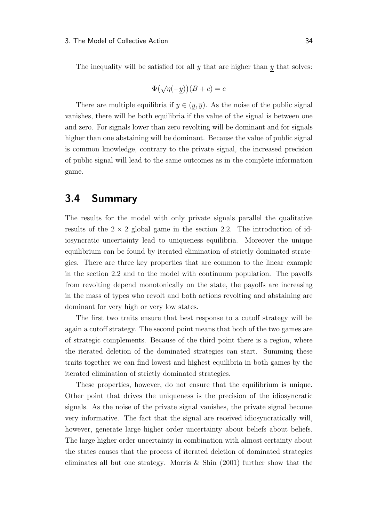The inequality will be satisfied for all  $y$  that are higher than  $y$  that solves:

$$
\Phi\big(\sqrt{\eta}(-y)\big)(B+c) = c
$$

There are multiple equilibria if  $y \in (y, \overline{y})$ . As the noise of the public signal vanishes, there will be both equilibria if the value of the signal is between one and zero. For signals lower than zero revolting will be dominant and for signals higher than one abstaining will be dominant. Because the value of public signal is common knowledge, contrary to the private signal, the increased precision of public signal will lead to the same outcomes as in the complete information game.

### 3.4 Summary

The results for the model with only private signals parallel the qualitative results of the  $2 \times 2$  global game in the section [2.2.](#page-18-0) The introduction of idiosyncratic uncertainty lead to uniqueness equilibria. Moreover the unique equilibrium can be found by iterated elimination of strictly dominated strategies. There are three key properties that are common to the linear example in the section [2.2](#page-18-0) and to the model with continuum population. The payoffs from revolting depend monotonically on the state, the payoffs are increasing in the mass of types who revolt and both actions revolting and abstaining are dominant for very high or very low states.

The first two traits ensure that best response to a cutoff strategy will be again a cutoff strategy. The second point means that both of the two games are of strategic complements. Because of the third point there is a region, where the iterated deletion of the dominated strategies can start. Summing these traits together we can find lowest and highest equilibria in both games by the iterated elimination of strictly dominated strategies.

These properties, however, do not ensure that the equilibrium is unique. Other point that drives the uniqueness is the precision of the idiosyncratic signals. As the noise of the private signal vanishes, the private signal become very informative. The fact that the signal are received idiosyncratically will, however, generate large higher order uncertainty about beliefs about beliefs. The large higher order uncertainty in combination with almost certainty about the states causes that the process of iterated deletion of dominated strategies eliminates all but one strategy. [Morris & Shin](#page-63-0) [\(2001\)](#page-63-0) further show that the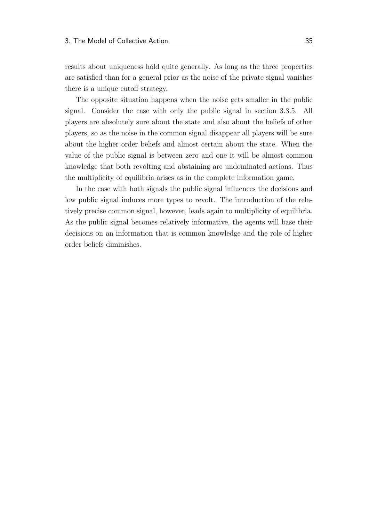results about uniqueness hold quite generally. As long as the three properties are satisfied than for a general prior as the noise of the private signal vanishes there is a unique cutoff strategy.

The opposite situation happens when the noise gets smaller in the public signal. Consider the case with only the public signal in section [3.3.5.](#page-40-0) All players are absolutely sure about the state and also about the beliefs of other players, so as the noise in the common signal disappear all players will be sure about the higher order beliefs and almost certain about the state. When the value of the public signal is between zero and one it will be almost common knowledge that both revolting and abstaining are undominated actions. Thus the multiplicity of equilibria arises as in the complete information game.

In the case with both signals the public signal influences the decisions and low public signal induces more types to revolt. The introduction of the relatively precise common signal, however, leads again to multiplicity of equilibria. As the public signal becomes relatively informative, the agents will base their decisions on an information that is common knowledge and the role of higher order beliefs diminishes.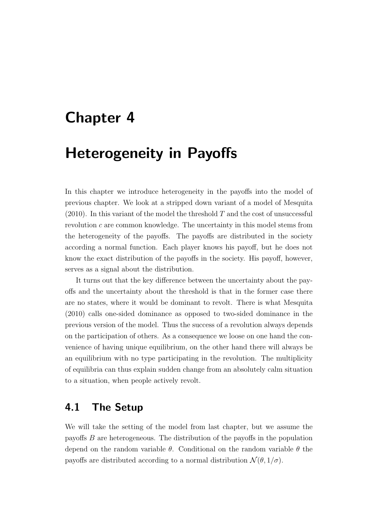## <span id="page-44-0"></span>Chapter 4

## Heterogeneity in Payoffs

In this chapter we introduce heterogeneity in the payoffs into the model of previous chapter. We look at a stripped down variant of a model of [Mesquita](#page-63-1)  $(2010)$ . In this variant of the model the threshold T and the cost of unsuccessful revolution c are common knowledge. The uncertainty in this model stems from the heterogeneity of the payoffs. The payoffs are distributed in the society according a normal function. Each player knows his payoff, but he does not know the exact distribution of the payoffs in the society. His payoff, however, serves as a signal about the distribution.

It turns out that the key difference between the uncertainty about the payoffs and the uncertainty about the threshold is that in the former case there are no states, where it would be dominant to revolt. There is what [Mesquita](#page-63-1) [\(2010\)](#page-63-1) calls one-sided dominance as opposed to two-sided dominance in the previous version of the model. Thus the success of a revolution always depends on the participation of others. As a consequence we loose on one hand the convenience of having unique equilibrium, on the other hand there will always be an equilibrium with no type participating in the revolution. The multiplicity of equilibria can thus explain sudden change from an absolutely calm situation to a situation, when people actively revolt.

## 4.1 The Setup

We will take the setting of the model from last chapter, but we assume the payoffs B are heterogeneous. The distribution of the payoffs in the population depend on the random variable  $\theta$ . Conditional on the random variable  $\theta$  the payoffs are distributed according to a normal distribution  $\mathcal{N}(\theta, 1/\sigma)$ .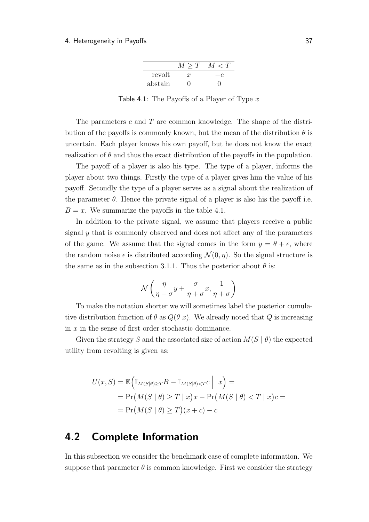|         | > 'I' | $\langle T \rangle$ |
|---------|-------|---------------------|
| revolt  | ŦΞ    |                     |
| abstain |       |                     |

Table 4.1: The Payoffs of a Player of Type  $x$ 

<span id="page-45-0"></span>The parameters c and T are common knowledge. The shape of the distribution of the payoffs is commonly known, but the mean of the distribution  $\theta$  is uncertain. Each player knows his own payoff, but he does not know the exact realization of  $\theta$  and thus the exact distribution of the payoffs in the population.

The payoff of a player is also his type. The type of a player, informs the player about two things. Firstly the type of a player gives him the value of his payoff. Secondly the type of a player serves as a signal about the realization of the parameter  $\theta$ . Hence the private signal of a player is also his the payoff i.e.  $B = x$ . We summarize the payoffs in the table [4.1.](#page-45-0)

In addition to the private signal, we assume that players receive a public signal y that is commonly observed and does not affect any of the parameters of the game. We assume that the signal comes in the form  $y = \theta + \epsilon$ , where the random noise  $\epsilon$  is distributed according  $\mathcal{N}(0, \eta)$ . So the signal structure is the same as in the subsection [3.1.1.](#page-32-0) Thus the posterior about  $\theta$  is:

$$
\mathcal{N}\left(\frac{\eta}{\eta+\sigma}y+\frac{\sigma}{\eta+\sigma}x,\frac{1}{\eta+\sigma}\right)
$$

To make the notation shorter we will sometimes label the posterior cumulative distribution function of  $\theta$  as  $Q(\theta|x)$ . We already noted that Q is increasing in  $x$  in the sense of first order stochastic dominance.

Given the strategy S and the associated size of action  $M(S | \theta)$  the expected utility from revolting is given as:

$$
U(x, S) = \mathbb{E}\Big(\mathbb{I}_{M(S|\theta) \ge T}B - \mathbb{I}_{M(S|\theta) < T}c \Big| x\Big) =
$$
\n
$$
= \Pr\big(M(S \mid \theta) \ge T \mid x\big)x - \Pr\big(M(S \mid \theta) < T \mid x\big)c =
$$
\n
$$
= \Pr\big(M(S \mid \theta) \ge T\big)(x + c) - c
$$

## 4.2 Complete Information

In this subsection we consider the benchmark case of complete information. We suppose that parameter  $\theta$  is common knowledge. First we consider the strategy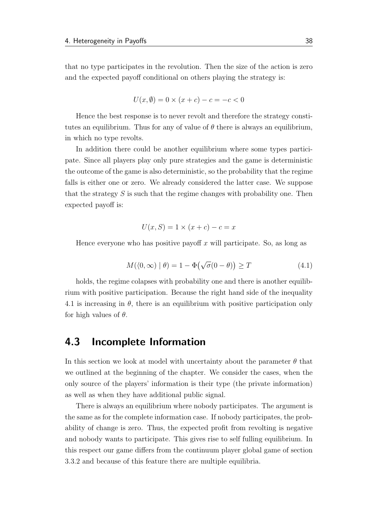that no type participates in the revolution. Then the size of the action is zero and the expected payoff conditional on others playing the strategy is:

$$
U(x, \emptyset) = 0 \times (x + c) - c = -c < 0
$$

Hence the best response is to never revolt and therefore the strategy constitutes an equilibrium. Thus for any of value of  $\theta$  there is always an equilibrium, in which no type revolts.

In addition there could be another equilibrium where some types participate. Since all players play only pure strategies and the game is deterministic the outcome of the game is also deterministic, so the probability that the regime falls is either one or zero. We already considered the latter case. We suppose that the strategy  $S$  is such that the regime changes with probability one. Then expected payoff is:

$$
U(x, S) = 1 \times (x + c) - c = x
$$

Hence everyone who has positive payoff x will participate. So, as long as

<span id="page-46-0"></span>
$$
M(\langle 0, \infty) | \theta) = 1 - \Phi(\sqrt{\sigma}(0 - \theta)) \ge T \tag{4.1}
$$

holds, the regime colapses with probability one and there is another equilibrium with positive participation. Because the right hand side of the inequality [4.1](#page-46-0) is increasing in  $\theta$ , there is an equilibrium with positive participation only for high values of  $\theta$ .

### 4.3 Incomplete Information

In this section we look at model with uncertainty about the parameter  $\theta$  that we outlined at the beginning of the chapter. We consider the cases, when the only source of the players' information is their type (the private information) as well as when they have additional public signal.

There is always an equilibrium where nobody participates. The argument is the same as for the complete information case. If nobody participates, the probability of change is zero. Thus, the expected profit from revolting is negative and nobody wants to participate. This gives rise to self fulling equilibrium. In this respect our game differs from the continuum player global game of section [3.3.2](#page-36-1) and because of this feature there are multiple equilibria.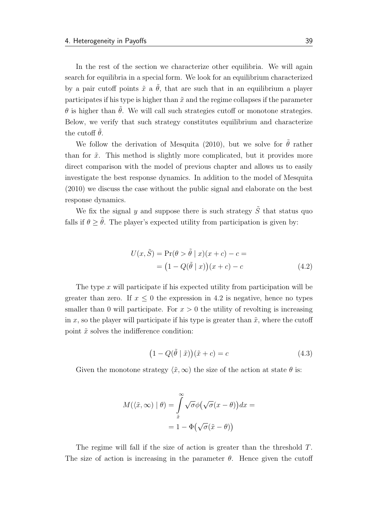In the rest of the section we characterize other equilibria. We will again search for equilibria in a special form. We look for an equilibrium characterized by a pair cutoff points  $\tilde{x}$  a  $\tilde{\theta}$ , that are such that in an equilibrium a player participates if his type is higher than  $\tilde{x}$  and the regime collapses if the parameter  $\theta$  is higher than  $\theta$ . We will call such strategies cutoff or monotone strategies. Below, we verify that such strategy constitutes equilibrium and characterize the cutoff  $\tilde{\theta}$ .

We follow the derivation of [Mesquita](#page-63-1) [\(2010\)](#page-63-1), but we solve for  $\tilde{\theta}$  rather than for  $\tilde{x}$ . This method is slightly more complicated, but it provides more direct comparison with the model of previous chapter and allows us to easily investigate the best response dynamics. In addition to the model of [Mesquita](#page-63-1) [\(2010\)](#page-63-1) we discuss the case without the public signal and elaborate on the best response dynamics.

We fix the signal y and suppose there is such strategy  $\tilde{S}$  that status quo falls if  $\theta > \tilde{\theta}$ . The player's expected utility from participation is given by:

<span id="page-47-0"></span>
$$
U(x, \tilde{S}) = \Pr(\theta > \tilde{\theta} \mid x)(x + c) - c =
$$

$$
= (1 - Q(\tilde{\theta} \mid x))(x + c) - c \tag{4.2}
$$

The type  $x$  will participate if his expected utility from participation will be greater than zero. If  $x \leq 0$  the expression in [4.2](#page-47-0) is negative, hence no types smaller than 0 will participate. For  $x > 0$  the utility of revolting is increasing in x, so the player will participate if his type is greater than  $\tilde{x}$ , where the cutoff point  $\tilde{x}$  solves the indifference condition:

<span id="page-47-1"></span>
$$
(1 - Q(\tilde{\theta} \mid \tilde{x}))(\tilde{x} + c) = c \tag{4.3}
$$

Given the monotone strategy  $\langle \tilde{x}, \infty \rangle$  the size of the action at state  $\theta$  is:

$$
M(\langle \tilde{x}, \infty) | \theta) = \int_{\tilde{x}}^{\infty} \sqrt{\sigma} \phi (\sqrt{\sigma} (x - \theta)) dx =
$$

$$
= 1 - \Phi(\sqrt{\sigma} (\tilde{x} - \theta))
$$

The regime will fall if the size of action is greater than the threshold T. The size of action is increasing in the parameter  $\theta$ . Hence given the cutoff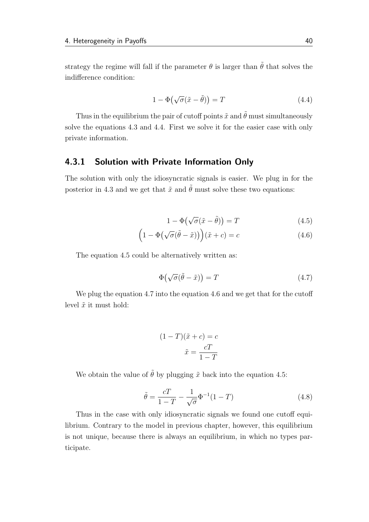strategy the regime will fall if the parameter  $\theta$  is larger than  $\tilde{\theta}$  that solves the indifference condition:

<span id="page-48-0"></span>
$$
1 - \Phi\left(\sqrt{\sigma}(\tilde{x} - \tilde{\theta})\right) = T \tag{4.4}
$$

Thus in the equilibrium the pair of cutoff points  $\tilde{x}$  and  $\tilde{\theta}$  must simultaneously solve the equations [4.3](#page-47-1) and [4.4.](#page-48-0) First we solve it for the easier case with only private information.

### 4.3.1 Solution with Private Information Only

The solution with only the idiosyncratic signals is easier. We plug in for the posterior in [4.3](#page-47-1) and we get that  $\tilde{x}$  and  $\tilde{\theta}$  must solve these two equations:

<span id="page-48-3"></span><span id="page-48-1"></span>
$$
1 - \Phi\left(\sqrt{\sigma}(\tilde{x} - \tilde{\theta})\right) = T \tag{4.5}
$$

$$
(1 - \Phi(\sqrt{\sigma}(\tilde{\theta} - \tilde{x})))(\tilde{x} + c) = c \tag{4.6}
$$

The equation [4.5](#page-48-1) could be alternatively written as:

<span id="page-48-2"></span>
$$
\Phi(\sqrt{\sigma}(\tilde{\theta} - \tilde{x})) = T \tag{4.7}
$$

We plug the equation [4.7](#page-48-2) into the equation [4.6](#page-48-3) and we get that for the cutoff level  $\tilde{x}$  it must hold:

$$
(1 - T)(\tilde{x} + c) = c
$$

$$
\tilde{x} = \frac{cT}{1 - T}
$$

We obtain the value of  $\tilde{\theta}$  by plugging  $\tilde{x}$  back into the equation [4.5:](#page-48-1)

$$
\tilde{\theta} = \frac{cT}{1 - T} - \frac{1}{\sqrt{\sigma}} \Phi^{-1} (1 - T) \tag{4.8}
$$

Thus in the case with only idiosyncratic signals we found one cutoff equilibrium. Contrary to the model in previous chapter, however, this equilibrium is not unique, because there is always an equilibrium, in which no types participate.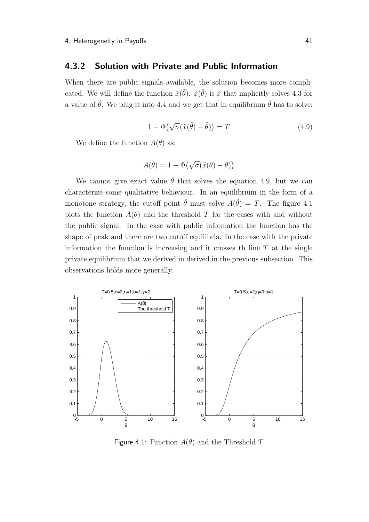### 4.3.2 Solution with Private and Public Information

When there are public signals available, the solution becomes more complicated. We will define the function  $\tilde{x}(\tilde{\theta})$ .  $\tilde{x}(\tilde{\theta})$  is  $\tilde{x}$  that implicitly solves [4.3](#page-47-1) for a value of  $\tilde{\theta}$ . We plug it into [4.4](#page-48-0) and we get that in equilibrium  $\tilde{\theta}$  has to solve:

<span id="page-49-0"></span>
$$
1 - \Phi\left(\sqrt{\sigma}(\tilde{x}(\tilde{\theta}) - \tilde{\theta})\right) = T \tag{4.9}
$$

We define the function  $A(\theta)$  as:

$$
A(\theta) = 1 - \Phi(\sqrt{\sigma}(\tilde{x}(\theta) - \theta))
$$

We cannot give exact value  $\tilde{\theta}$  that solves the equation [4.9,](#page-49-0) but we can characterize some qualitative behaviour. In an equilibrium in the form of a monotone strategy, the cutoff point  $\tilde{\theta}$  must solve  $A(\tilde{\theta}) = T$ . The figure [4.1](#page-49-1) plots the function  $A(\theta)$  and the threshold T for the cases with and without the public signal. In the case with public information the function has the shape of peak and there are two cutoff equilibria. In the case with the private information the function is increasing and it crosses the line  $T$  at the single private equilibrium that we derived in derived in the previous subsection. This observations holds more generally.

<span id="page-49-1"></span>

Figure 4.1: Function  $A(\theta)$  and the Threshold T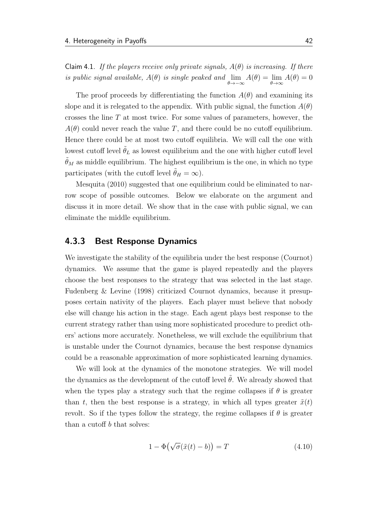Claim 4.1. If the players receive only private signals,  $A(\theta)$  is increasing. If there is public signal available,  $A(\theta)$  is single peaked and  $\lim_{\theta \to -\infty} A(\theta) = \lim_{\theta \to \infty} A(\theta) = 0$ 

The proof proceeds by differentiating the function  $A(\theta)$  and examining its slope and it is relegated to the appendix. With public signal, the function  $A(\theta)$ crosses the line  $T$  at most twice. For some values of parameters, however, the  $A(\theta)$  could never reach the value T, and there could be no cutoff equilibrium. Hence there could be at most two cutoff equilibria. We will call the one with lowest cutoff level  $\theta_L$  as lowest equilibrium and the one with higher cutoff level  $\tilde{\theta}_M$  as middle equilibrium. The highest equilibrium is the one, in which no type participates (with the cutoff level  $\tilde{\theta}_H = \infty$ ).

[Mesquita](#page-63-1) [\(2010\)](#page-63-1) suggested that one equilibrium could be eliminated to narrow scope of possible outcomes. Below we elaborate on the argument and discuss it in more detail. We show that in the case with public signal, we can eliminate the middle equilibrium.

### 4.3.3 Best Response Dynamics

We investigate the stability of the equilibria under the best response (Cournot) dynamics. We assume that the game is played repeatedly and the players choose the best responses to the strategy that was selected in the last stage. [Fudenberg & Levine](#page-63-2) [\(1998\)](#page-63-2) criticized Cournot dynamics, because it presupposes certain nativity of the players. Each player must believe that nobody else will change his action in the stage. Each agent plays best response to the current strategy rather than using more sophisticated procedure to predict others' actions more accurately. Nonetheless, we will exclude the equilibrium that is unstable under the Cournot dynamics, because the best response dynamics could be a reasonable approximation of more sophisticated learning dynamics.

We will look at the dynamics of the monotone strategies. We will model the dynamics as the development of the cutoff level  $\theta$ . We already showed that when the types play a strategy such that the regime collapses if  $\theta$  is greater than t, then the best response is a strategy, in which all types greater  $\tilde{x}(t)$ revolt. So if the types follow the strategy, the regime collapses if  $\theta$  is greater than a cutoff b that solves:

$$
1 - \Phi(\sqrt{\sigma}(\tilde{x}(t) - b)) = T \tag{4.10}
$$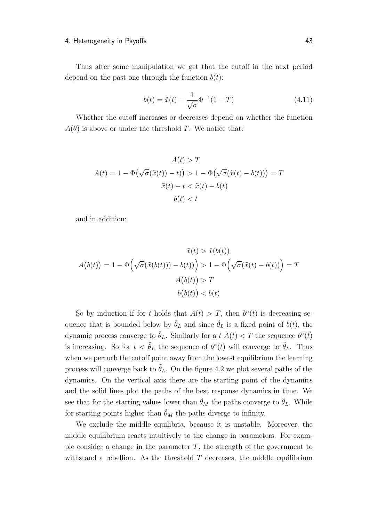Thus after some manipulation we get that the cutoff in the next period depend on the past one through the function  $b(t)$ :

$$
b(t) = \tilde{x}(t) - \frac{1}{\sqrt{\sigma}} \Phi^{-1} (1 - T)
$$
\n(4.11)

Whether the cutoff increases or decreases depend on whether the function  $A(\theta)$  is above or under the threshold T. We notice that:

$$
A(t) > T
$$
  
\n
$$
A(t) = 1 - \Phi(\sqrt{\sigma}(\tilde{x}(t)) - t)) > 1 - \Phi(\sqrt{\sigma}(\tilde{x}(t) - b(t))) = T
$$
  
\n
$$
\tilde{x}(t) - t < \tilde{x}(t) - b(t)
$$
  
\n
$$
b(t) < t
$$

and in addition:

$$
\tilde{x}(t) > \tilde{x}(b(t))
$$

$$
A(b(t)) = 1 - \Phi\left(\sqrt{\sigma}(\tilde{x}(b(t))) - b(t))\right) > 1 - \Phi\left(\sqrt{\sigma}(\tilde{x}(t) - b(t))\right) = T
$$

$$
A(b(t)) > T
$$

$$
b(b(t)) < b(t)
$$

So by induction if for t holds that  $A(t) > T$ , then  $b<sup>n</sup>(t)$  is decreasing sequence that is bounded below by  $\tilde{\theta}_L$  and since  $\tilde{\theta}_L$  is a fixed point of  $b(t)$ , the dynamic process converge to  $\tilde{\theta}_L$ . Similarly for a  $t$   $A(t) < T$  the sequence  $b^n(t)$ is increasing. So for  $t < \tilde{\theta}_L$  the sequence of  $b^n(t)$  will converge to  $\tilde{\theta}_L$ . Thus when we perturb the cutoff point away from the lowest equilibrium the learning process will converge back to  $\theta_L$ . On the figure [4.2](#page-52-0) we plot several paths of the dynamics. On the vertical axis there are the starting point of the dynamics and the solid lines plot the paths of the best response dynamics in time. We see that for the starting values lower than  $\tilde{\theta}_M$  the paths converge to  $\tilde{\theta}_L$ . While for starting points higher than  $\tilde{\theta}_M$  the paths diverge to infinity.

We exclude the middle equilibria, because it is unstable. Moreover, the middle equilibrium reacts intuitively to the change in parameters. For example consider a change in the parameter  $T$ , the strength of the government to withstand a rebellion. As the threshold  $T$  decreases, the middle equilibrium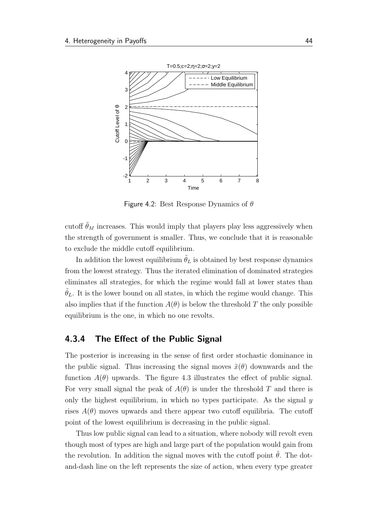<span id="page-52-0"></span>

Figure 4.2: Best Response Dynamics of  $\theta$ 

cutoff  $\tilde{\theta}_M$  increases. This would imply that players play less aggressively when the strength of government is smaller. Thus, we conclude that it is reasonable to exclude the middle cutoff equilibrium.

In addition the lowest equilibrium  $\theta_L$  is obtained by best response dynamics from the lowest strategy. Thus the iterated elimination of dominated strategies eliminates all strategies, for which the regime would fall at lower states than  $\hat{\theta}_L$ . It is the lower bound on all states, in which the regime would change. This also implies that if the function  $A(\theta)$  is below the threshold T the only possible equilibrium is the one, in which no one revolts.

### 4.3.4 The Effect of the Public Signal

The posterior is increasing in the sense of first order stochastic dominance in the public signal. Thus increasing the signal moves  $\tilde{x}(\theta)$  downwards and the function  $A(\theta)$  upwards. The figure [4.3](#page-53-0) illustrates the effect of public signal. For very small signal the peak of  $A(\theta)$  is under the threshold T and there is only the highest equilibrium, in which no types participate. As the signal  $y$ rises  $A(\theta)$  moves upwards and there appear two cutoff equilibria. The cutoff point of the lowest equilibrium is decreasing in the public signal.

Thus low public signal can lead to a situation, where nobody will revolt even though most of types are high and large part of the population would gain from the revolution. In addition the signal moves with the cutoff point  $\theta$ . The dotand-dash line on the left represents the size of action, when every type greater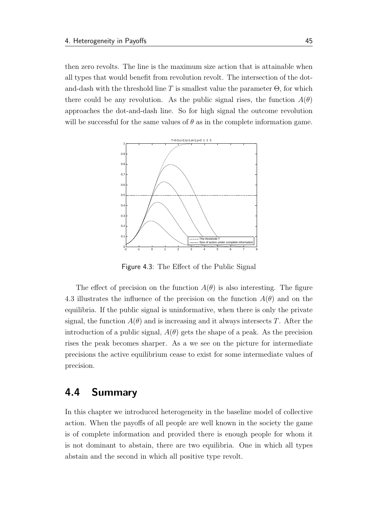then zero revolts. The line is the maximum size action that is attainable when all types that would benefit from revolution revolt. The intersection of the dotand-dash with the threshold line T is smallest value the parameter  $\Theta$ , for which there could be any revolution. As the public signal rises, the function  $A(\theta)$ approaches the dot-and-dash line. So for high signal the outcome revolution will be successful for the same values of  $\theta$  as in the complete information game.

<span id="page-53-0"></span>

Figure 4.3: The Effect of the Public Signal

The effect of precision on the function  $A(\theta)$  is also interesting. The figure [4.3](#page-53-0) illustrates the influence of the precision on the function  $A(\theta)$  and on the equilibria. If the public signal is uninformative, when there is only the private signal, the function  $A(\theta)$  and is increasing and it always intersects T. After the introduction of a public signal,  $A(\theta)$  gets the shape of a peak. As the precision rises the peak becomes sharper. As a we see on the picture for intermediate precisions the active equilibrium cease to exist for some intermediate values of precision.

### 4.4 Summary

In this chapter we introduced heterogeneity in the baseline model of collective action. When the payoffs of all people are well known in the society the game is of complete information and provided there is enough people for whom it is not dominant to abstain, there are two equilibria. One in which all types abstain and the second in which all positive type revolt.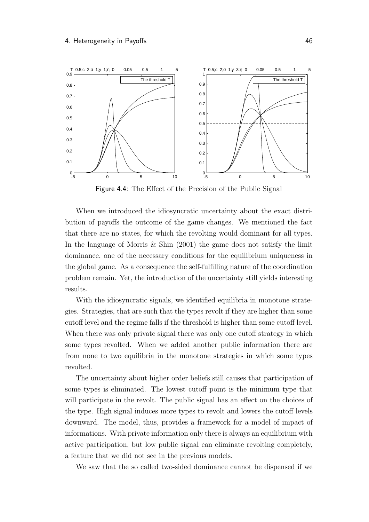

Figure 4.4: The Effect of the Precision of the Public Signal

When we introduced the idiosyncratic uncertainty about the exact distribution of payoffs the outcome of the game changes. We mentioned the fact that there are no states, for which the revolting would dominant for all types. In the language of [Morris & Shin](#page-63-0) [\(2001\)](#page-63-0) the game does not satisfy the limit dominance, one of the necessary conditions for the equilibrium uniqueness in the global game. As a consequence the self-fulfilling nature of the coordination problem remain. Yet, the introduction of the uncertainty still yields interesting results.

With the idiosyncratic signals, we identified equilibria in monotone strategies. Strategies, that are such that the types revolt if they are higher than some cutoff level and the regime falls if the threshold is higher than some cutoff level. When there was only private signal there was only one cutoff strategy in which some types revolted. When we added another public information there are from none to two equilibria in the monotone strategies in which some types revolted.

The uncertainty about higher order beliefs still causes that participation of some types is eliminated. The lowest cutoff point is the minimum type that will participate in the revolt. The public signal has an effect on the choices of the type. High signal induces more types to revolt and lowers the cutoff levels downward. The model, thus, provides a framework for a model of impact of informations. With private information only there is always an equilibrium with active participation, but low public signal can eliminate revolting completely, a feature that we did not see in the previous models.

We saw that the so called two-sided dominance cannot be dispensed if we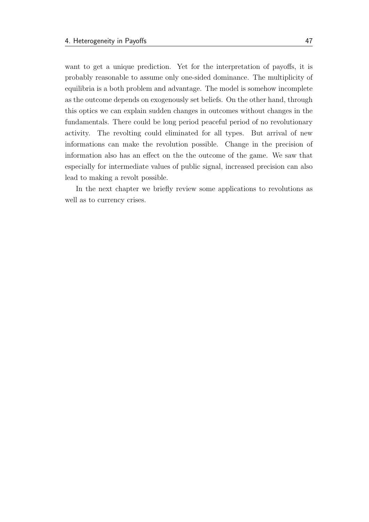want to get a unique prediction. Yet for the interpretation of payoffs, it is probably reasonable to assume only one-sided dominance. The multiplicity of equilibria is a both problem and advantage. The model is somehow incomplete as the outcome depends on exogenously set beliefs. On the other hand, through this optics we can explain sudden changes in outcomes without changes in the fundamentals. There could be long period peaceful period of no revolutionary activity. The revolting could eliminated for all types. But arrival of new informations can make the revolution possible. Change in the precision of information also has an effect on the the outcome of the game. We saw that especially for intermediate values of public signal, increased precision can also lead to making a revolt possible.

In the next chapter we briefly review some applications to revolutions as well as to currency crises.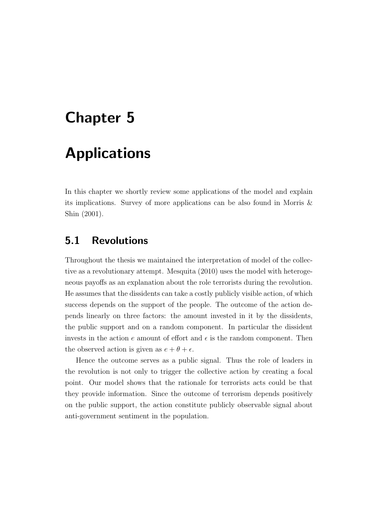# Chapter 5

## Applications

In this chapter we shortly review some applications of the model and explain its implications. Survey of more applications can be also found in [Morris &](#page-63-0) [Shin](#page-63-0) [\(2001\)](#page-63-0).

## 5.1 Revolutions

Throughout the thesis we maintained the interpretation of model of the collective as a revolutionary attempt. [Mesquita](#page-63-1) [\(2010\)](#page-63-1) uses the model with heterogeneous payoffs as an explanation about the role terrorists during the revolution. He assumes that the dissidents can take a costly publicly visible action, of which success depends on the support of the people. The outcome of the action depends linearly on three factors: the amount invested in it by the dissidents, the public support and on a random component. In particular the dissident invests in the action e amount of effort and  $\epsilon$  is the random component. Then the observed action is given as  $e + \theta + \epsilon$ .

Hence the outcome serves as a public signal. Thus the role of leaders in the revolution is not only to trigger the collective action by creating a focal point. Our model shows that the rationale for terrorists acts could be that they provide information. Since the outcome of terrorism depends positively on the public support, the action constitute publicly observable signal about anti-government sentiment in the population.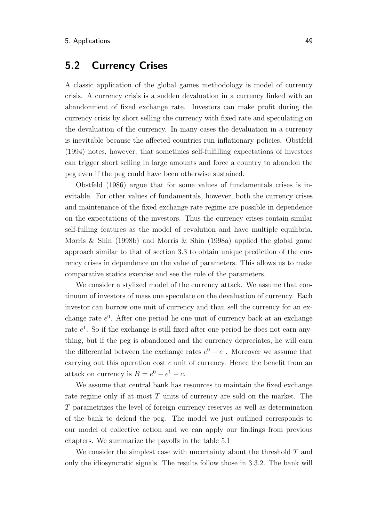## 5.2 Currency Crises

A classic application of the global games methodology is model of currency crisis. A currency crisis is a sudden devaluation in a currency linked with an abandonment of fixed exchange rate. Investors can make profit during the currency crisis by short selling the currency with fixed rate and speculating on the devaluation of the currency. In many cases the devaluation in a currency is inevitable because the affected countries run inflationary policies. [Obstfeld](#page-64-0) [\(1994\)](#page-64-0) notes, however, that sometimes self-fulfilling expectations of investors can trigger short selling in large amounts and force a country to abandon the peg even if the peg could have been otherwise sustained.

[Obstfeld](#page-64-1) [\(1986\)](#page-64-1) argue that for some values of fundamentals crises is inevitable. For other values of fundamentals, however, both the currency crises and maintenance of the fixed exchange rate regime are possible in dependence on the expectations of the investors. Thus the currency crises contain similar self-fulling features as the model of revolution and have multiple equilibria. [Morris & Shin](#page-63-3) [\(1998b\)](#page-63-3) and [Morris & Shin](#page-63-4) [\(1998a\)](#page-63-4) applied the global game approach similar to that of section [3.3](#page-34-0) to obtain unique prediction of the currency crises in dependence on the value of parameters. This allows us to make comparative statics exercise and see the role of the parameters.

We consider a stylized model of the currency attack. We assume that continuum of investors of mass one speculate on the devaluation of currency. Each investor can borrow one unit of currency and than sell the currency for an exchange rate  $e^{0}$ . After one period he one unit of currency back at an exchange rate  $e<sup>1</sup>$ . So if the exchange is still fixed after one period he does not earn anything, but if the peg is abandoned and the currency depreciates, he will earn the differential between the exchange rates  $e^0 - e^1$ . Moreover we assume that carrying out this operation cost c unit of currency. Hence the benefit from an attack on currency is  $B = e^0 - e^1 - c$ .

We assume that central bank has resources to maintain the fixed exchange rate regime only if at most T units of currency are sold on the market. The T parametrizes the level of foreign currency reserves as well as determination of the bank to defend the peg. The model we just outlined corresponds to our model of collective action and we can apply our findings from previous chapters. We summarize the payoffs in the table [5.1](#page-58-0)

We consider the simplest case with uncertainty about the threshold  $T$  and only the idiosyncratic signals. The results follow those in [3.3.2.](#page-36-1) The bank will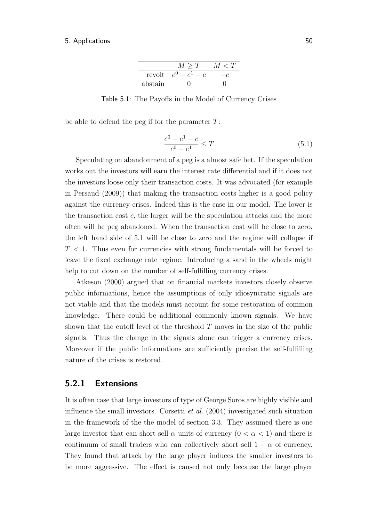|         | > 'I'           |  |
|---------|-----------------|--|
| revolt  | $e^{0}$<br>$-c$ |  |
| abstain |                 |  |

<span id="page-58-0"></span>Table 5.1: The Payoffs in the Model of Currency Crises

be able to defend the peg if for the parameter  $T$ :

<span id="page-58-1"></span>
$$
\frac{e^0 - e^1 - c}{e^0 - e^1} \le T \tag{5.1}
$$

Speculating on abandonment of a peg is a almost safe bet. If the speculation works out the investors will earn the interest rate differential and if it does not the investors loose only their transaction costs. It was advocated (for example in [Persaud](#page-64-2) [\(2009\)](#page-64-2)) that making the transaction costs higher is a good policy against the currency crises. Indeed this is the case in our model. The lower is the transaction cost  $c$ , the larger will be the speculation attacks and the more often will be peg abandoned. When the transaction cost will be close to zero, the left hand side of [5.1](#page-58-1) will be close to zero and the regime will collapse if  $T < 1$ . Thus even for currencies with strong fundamentals will be forced to leave the fixed exchange rate regime. Introducing a sand in the wheels might help to cut down on the number of self-fulfilling currency crises.

[Atkeson](#page-62-0) [\(2000\)](#page-62-0) argued that on financial markets investors closely observe public informations, hence the assumptions of only idiosyncratic signals are not viable and that the models must account for some restoration of common knowledge. There could be additional commonly known signals. We have shown that the cutoff level of the threshold  $T$  moves in the size of the public signals. Thus the change in the signals alone can trigger a currency crises. Moreover if the public informations are sufficiently precise the self-fulfilling nature of the crises is restored.

### 5.2.1 Extensions

It is often case that large investors of type of George Soros are highly visible and influence the small investors. [Corsetti](#page-62-1) *et al.*  $(2004)$  investigated such situation in the framework of the the model of section [3.3.](#page-34-0) They assumed there is one large investor that can short sell  $\alpha$  units of currency  $(0 < \alpha < 1)$  and there is continuum of small traders who can collectively short sell  $1 - \alpha$  of currency. They found that attack by the large player induces the smaller investors to be more aggressive. The effect is caused not only because the large player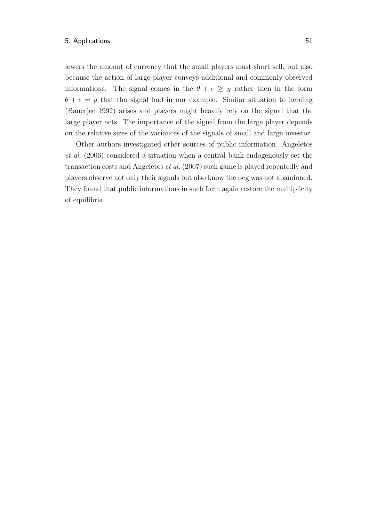lowers the amount of currency that the small players must short sell, but also because the action of large player conveys additional and commonly observed informations. The signal comes in the  $\theta + \epsilon \geq y$  rather then in the form  $\theta + \epsilon = y$  that tha signal had in our example. Similar situation to herding [\(Banerjee](#page-62-2) [1992\)](#page-62-2) arises and players might heavily rely on the signal that the large player acts. The importance of the signal from the large player depends on the relative sizes of the variances of the signals of small and large investor.

Other authors investigated other sources of public information. [Angeletos](#page-62-3) [et al.](#page-62-3) [\(2006\)](#page-62-3) considered a situation when a central bank endogenously set the transaction costs and [Angeletos](#page-62-4) et al. [\(2007\)](#page-62-4) such game is played repeatedly and players observe not only their signals but also know the peg was not abandoned. They found that public informations in such form again restore the multiplicity of equilibria.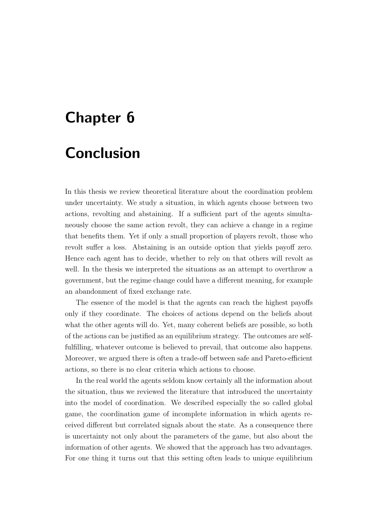# Chapter 6

# **Conclusion**

In this thesis we review theoretical literature about the coordination problem under uncertainty. We study a situation, in which agents choose between two actions, revolting and abstaining. If a sufficient part of the agents simultaneously choose the same action revolt, they can achieve a change in a regime that benefits them. Yet if only a small proportion of players revolt, those who revolt suffer a loss. Abstaining is an outside option that yields payoff zero. Hence each agent has to decide, whether to rely on that others will revolt as well. In the thesis we interpreted the situations as an attempt to overthrow a government, but the regime change could have a different meaning, for example an abandonment of fixed exchange rate.

The essence of the model is that the agents can reach the highest payoffs only if they coordinate. The choices of actions depend on the beliefs about what the other agents will do. Yet, many coherent beliefs are possible, so both of the actions can be justified as an equilibrium strategy. The outcomes are selffulfilling, whatever outcome is believed to prevail, that outcome also happens. Moreover, we argued there is often a trade-off between safe and Pareto-efficient actions, so there is no clear criteria which actions to choose.

In the real world the agents seldom know certainly all the information about the situation, thus we reviewed the literature that introduced the uncertainty into the model of coordination. We described especially the so called global game, the coordination game of incomplete information in which agents received different but correlated signals about the state. As a consequence there is uncertainty not only about the parameters of the game, but also about the information of other agents. We showed that the approach has two advantages. For one thing it turns out that this setting often leads to unique equilibrium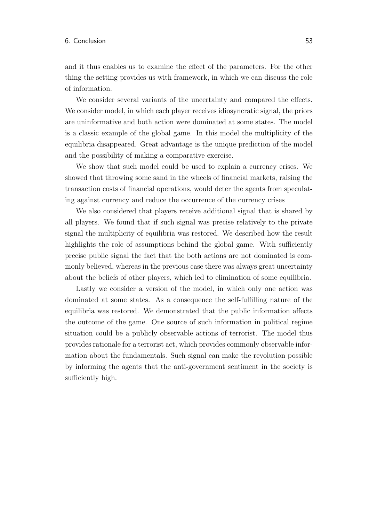and it thus enables us to examine the effect of the parameters. For the other thing the setting provides us with framework, in which we can discuss the role of information.

We consider several variants of the uncertainty and compared the effects. We consider model, in which each player receives idiosyncratic signal, the priors are uninformative and both action were dominated at some states. The model is a classic example of the global game. In this model the multiplicity of the equilibria disappeared. Great advantage is the unique prediction of the model and the possibility of making a comparative exercise.

We show that such model could be used to explain a currency crises. We showed that throwing some sand in the wheels of financial markets, raising the transaction costs of financial operations, would deter the agents from speculating against currency and reduce the occurrence of the currency crises

We also considered that players receive additional signal that is shared by all players. We found that if such signal was precise relatively to the private signal the multiplicity of equilibria was restored. We described how the result highlights the role of assumptions behind the global game. With sufficiently precise public signal the fact that the both actions are not dominated is commonly believed, whereas in the previous case there was always great uncertainty about the beliefs of other players, which led to elimination of some equilibria.

Lastly we consider a version of the model, in which only one action was dominated at some states. As a consequence the self-fulfilling nature of the equilibria was restored. We demonstrated that the public information affects the outcome of the game. One source of such information in political regime situation could be a publicly observable actions of terrorist. The model thus provides rationale for a terrorist act, which provides commonly observable information about the fundamentals. Such signal can make the revolution possible by informing the agents that the anti-government sentiment in the society is sufficiently high.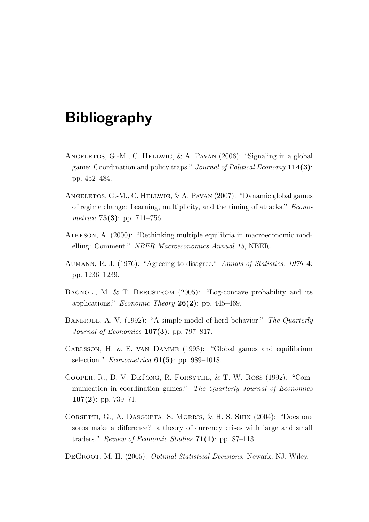# Bibliography

- <span id="page-62-3"></span>Angeletos, G.-M., C. Hellwig, & A. Pavan (2006): "Signaling in a global game: Coordination and policy traps." *Journal of Political Economy* 114(3): pp. 452–484.
- <span id="page-62-4"></span>Angeletos, G.-M., C. Hellwig, & A. Pavan (2007): "Dynamic global games of regime change: Learning, multiplicity, and the timing of attacks." Econometrica **75(3)**: pp. 711–756.
- <span id="page-62-0"></span>Atkeson, A. (2000): "Rethinking multiple equilibria in macroeconomic modelling: Comment." NBER Macroeconomics Annual 15, NBER.
- Aumann, R. J. (1976): "Agreeing to disagree." Annals of Statistics, 1976 4: pp. 1236–1239.
- <span id="page-62-6"></span>BAGNOLI, M. & T. BERGSTROM (2005): "Log-concave probability and its applications." *Economic Theory* **26(2)**: pp. 445–469.
- <span id="page-62-2"></span>BANERJEE, A. V. (1992): "A simple model of herd behavior." The Quarterly Journal of Economics  $107(3)$ : pp. 797–817.
- Carlsson, H. & E. van Damme (1993): "Global games and equilibrium selection." *Econometrica*  $61(5)$ : pp. 989–1018.
- Cooper, R., D. V. DeJong, R. Forsythe, & T. W. Ross (1992): "Communication in coordination games." The Quarterly Journal of Economics 107(2): pp. 739–71.
- <span id="page-62-1"></span>CORSETTI, G., A. DASGUPTA, S. MORRIS, & H. S. SHIN (2004): "Does one soros make a difference? a theory of currency crises with large and small traders." Review of Economic Studies  $71(1)$ : pp. 87–113.
- <span id="page-62-5"></span>DEGROOT, M. H. (2005): *Optimal Statistical Decisions*. Newark, NJ: Wiley.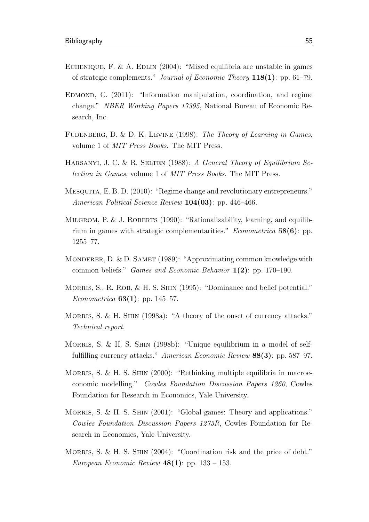- ECHENIQUE, F. & A. EDLIN (2004): "Mixed equilibria are unstable in games of strategic complements." Journal of Economic Theory 118(1): pp. 61–79.
- EDMOND, C. (2011): "Information manipulation, coordination, and regime change." NBER Working Papers 17395, National Bureau of Economic Research, Inc.
- <span id="page-63-2"></span>FUDENBERG, D. & D. K. LEVINE (1998): The Theory of Learning in Games, volume 1 of MIT Press Books. The MIT Press.
- HARSANYI, J. C. & R. SELTEN (1988): A General Theory of Equilibrium Selection in Games, volume 1 of MIT Press Books. The MIT Press.
- <span id="page-63-1"></span>Mesquita, E. B. D. (2010): "Regime change and revolutionary entrepreneurs." American Political Science Review 104(03): pp. 446–466.
- MILGROM, P. & J. ROBERTS (1990): "Rationalizability, learning, and equilibrium in games with strategic complementarities." *Econometrica*  $58(6)$ : pp. 1255–77.
- MONDERER, D. & D. SAMET (1989): "Approximating common knowledge with common beliefs." *Games and Economic Behavior*  $1(2)$ : pp. 170–190.
- MORRIS, S., R. ROB, & H. S. SHIN (1995): "Dominance and belief potential." *Econometrica* **63(1)**: pp. 145–57.
- <span id="page-63-4"></span>MORRIS, S. & H. SHIN (1998a): "A theory of the onset of currency attacks." Technical report.
- <span id="page-63-3"></span>MORRIS, S. & H. S. SHIN (1998b): "Unique equilibrium in a model of selffulfilling currency attacks." American Economic Review 88(3): pp. 587–97.
- MORRIS, S. & H. S. SHIN (2000): "Rethinking multiple equilibria in macroeconomic modelling." Cowles Foundation Discussion Papers 1260, Cowles Foundation for Research in Economics, Yale University.
- <span id="page-63-0"></span>MORRIS, S. & H. S. SHIN (2001): "Global games: Theory and applications." Cowles Foundation Discussion Papers 1275R, Cowles Foundation for Research in Economics, Yale University.
- MORRIS, S. & H. S. SHIN (2004): "Coordination risk and the price of debt." European Economic Review  $48(1)$ : pp. 133 – 153.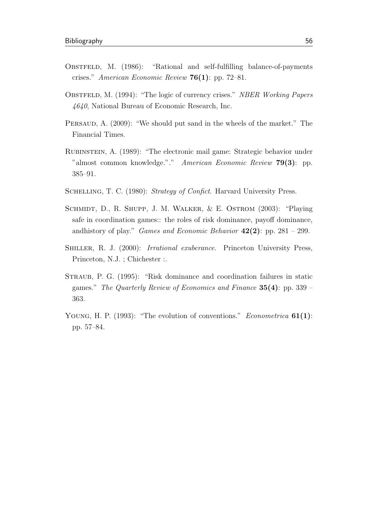- <span id="page-64-1"></span>OBSTFELD, M. (1986): "Rational and self-fulfilling balance-of-payments crises." American Economic Review  $76(1)$ : pp. 72–81.
- <span id="page-64-0"></span>OBSTFELD, M. (1994): "The logic of currency crises." NBER Working Papers 4640, National Bureau of Economic Research, Inc.
- <span id="page-64-2"></span>Persaud, A. (2009): "We should put sand in the wheels of the market." The Financial Times.
- Rubinstein, A. (1989): "The electronic mail game: Strategic behavior under "almost common knowledge."." American Economic Review 79(3): pp. 385–91.
- SCHELLING, T. C. (1980): Strategy of Confict. Harvard University Press.
- SCHMIDT, D., R. SHUPP, J. M. WALKER, & E. OSTROM (2003): "Playing safe in coordination games:: the roles of risk dominance, payoff dominance, andhistory of play." *Games and Economic Behavior*  $42(2)$ : pp. 281 – 299.
- Shiller, R. J. (2000): Irrational exuberance. Princeton University Press, Princeton, N.J. ; Chichester :.
- Straub, P. G. (1995): "Risk dominance and coordination failures in static games." The Quarterly Review of Economics and Finance  $35(4)$ : pp. 339 – 363.
- YOUNG, H. P. (1993): "The evolution of conventions." Econometrica  $61(1)$ : pp. 57–84.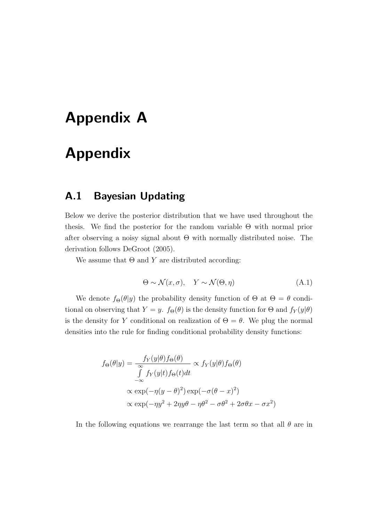# Appendix A

# Appendix

## A.1 Bayesian Updating

Below we derive the posterior distribution that we have used throughout the thesis. We find the posterior for the random variable Θ with normal prior after observing a noisy signal about  $\Theta$  with normally distributed noise. The derivation follows [DeGroot](#page-62-5) [\(2005\)](#page-62-5).

We assume that  $\Theta$  and Y are distributed according:

<span id="page-65-0"></span>
$$
\Theta \sim \mathcal{N}(x, \sigma), \quad Y \sim \mathcal{N}(\Theta, \eta) \tag{A.1}
$$

We denote  $f_{\Theta}(\theta|y)$  the probability density function of  $\Theta$  at  $\Theta = \theta$  conditional on observing that  $Y = y$ .  $f_{\Theta}(\theta)$  is the density function for  $\Theta$  and  $f_Y(y|\theta)$ is the density for Y conditional on realization of  $\Theta = \theta$ . We plug the normal densities into the rule for finding conditional probability density functions:

$$
f_{\Theta}(\theta|y) = \frac{f_Y(y|\theta)f_{\Theta}(\theta)}{\int_{-\infty}^{\infty} f_Y(y|t)f_{\Theta}(t)dt} \propto f_Y(y|\theta)f_{\Theta}(\theta)
$$

$$
\propto \exp(-\eta(y-\theta)^2)\exp(-\sigma(\theta-x)^2)
$$

$$
\propto \exp(-\eta y^2 + 2\eta y \theta - \eta \theta^2 - \sigma \theta^2 + 2\sigma \theta x - \sigma x^2)
$$

In the following equations we rearrange the last term so that all  $\theta$  are in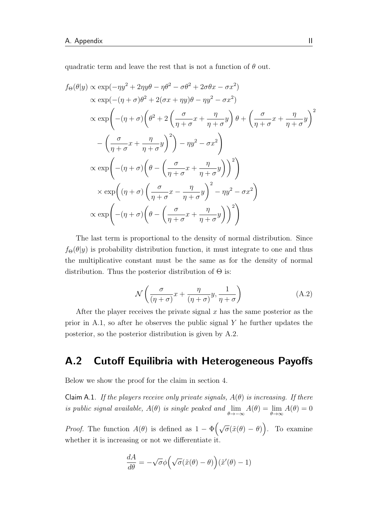quadratic term and leave the rest that is not a function of  $\theta$  out.

$$
f_{\Theta}(\theta|y) \propto \exp(-\eta y^2 + 2\eta y \theta - \eta \theta^2 - \sigma \theta^2 + 2\sigma \theta x - \sigma x^2)
$$
  

$$
\propto \exp(-( \eta + \sigma) \theta^2 + 2(\sigma x + \eta y) \theta - \eta y^2 - \sigma x^2)
$$
  

$$
\propto \exp\left(-(\eta + \sigma) \left(\theta^2 + 2\left(\frac{\sigma}{\eta + \sigma} x + \frac{\eta}{\eta + \sigma} y\right) \theta + \left(\frac{\sigma}{\eta + \sigma} x + \frac{\eta}{\eta + \sigma} y\right)^2\right) - \left(\frac{\sigma}{\eta + \sigma} x + \frac{\eta}{\eta + \sigma} y\right)^2\right) - \eta y^2 - \sigma x^2\right)
$$
  

$$
\propto \exp\left(-(\eta + \sigma) \left(\theta - \left(\frac{\sigma}{\eta + \sigma} x + \frac{\eta}{\eta + \sigma} y\right)\right)^2\right)
$$
  

$$
\times \exp\left((\eta + \sigma) \left(\frac{\sigma}{\eta + \sigma} x - \frac{\eta}{\eta + \sigma} y\right)^2 - \eta y^2 - \sigma x^2\right)
$$
  

$$
\propto \exp\left(-(\eta + \sigma) \left(\theta - \left(\frac{\sigma}{\eta + \sigma} x + \frac{\eta}{\eta + \sigma} y\right)\right)^2\right)
$$

The last term is proportional to the density of normal distribution. Since  $f_{\Theta}(\theta|y)$  is probability distribution function, it must integrate to one and thus the multiplicative constant must be the same as for the density of normal distribution. Thus the posterior distribution of  $\Theta$  is:

<span id="page-66-0"></span>
$$
\mathcal{N}\left(\frac{\sigma}{(\eta+\sigma)}x + \frac{\eta}{(\eta+\sigma)}y, \frac{1}{\eta+\sigma}\right) \tag{A.2}
$$

After the player receives the private signal  $x$  has the same posterior as the prior in [A.1,](#page-65-0) so after he observes the public signal  $Y$  he further updates the posterior, so the posterior distribution is given by [A.2.](#page-66-0)

## A.2 Cutoff Equilibria with Heterogeneous Payoffs

Below we show the proof for the claim in section [4.](#page-44-0)

Claim A.1. If the players receive only private signals,  $A(\theta)$  is increasing. If there is public signal available,  $A(\theta)$  is single peaked and  $\lim_{\theta \to -\infty} A(\theta) = \lim_{\theta \to \infty} A(\theta) = 0$ 

*Proof.* The function  $A(\theta)$  is defined as  $1 - \Phi\left(\sqrt{\sigma}(\tilde{x}(\theta) - \theta)\right)$ . To examine whether it is increasing or not we differentiate it.

$$
\frac{dA}{d\theta} = -\sqrt{\sigma}\phi\Big(\sqrt{\sigma}(\tilde{x}(\theta) - \theta)\Big)(\tilde{x}'(\theta) - 1)
$$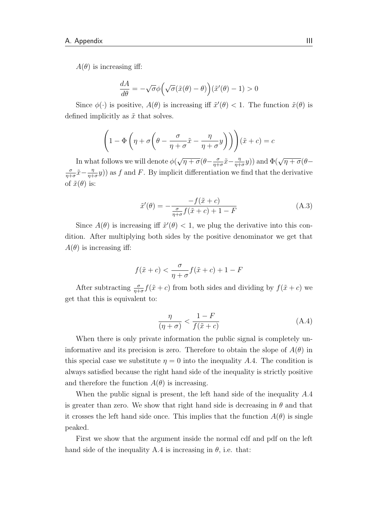$A(\theta)$  is increasing iff:

$$
\frac{dA}{d\theta} = -\sqrt{\sigma}\phi \left( \sqrt{\sigma} (\tilde{x}(\theta) - \theta) \right) (\tilde{x}'(\theta) - 1) > 0
$$

Since  $\phi(\cdot)$  is positive,  $A(\theta)$  is increasing iff  $\tilde{x}'(\theta) < 1$ . The function  $\tilde{x}(\theta)$  is defined implicitly as  $\tilde{x}$  that solves.

$$
\left(1 - \Phi\left(\eta + \sigma\left(\theta - \frac{\sigma}{\eta + \sigma}\tilde{x} - \frac{\eta}{\eta + \sigma}y\right)\right)\right)(\tilde{x} + c) = c
$$

In what follows we will denote  $\phi($ √  $\sqrt{\eta+\sigma}(\theta-\frac{\sigma}{n+1})$  $\frac{\sigma}{\eta+\sigma}\tilde{x}-\frac{\eta}{\eta+\sigma}$  $(\frac{\eta}{\eta+\sigma}y)$  and  $\Phi(\sqrt{\eta+\sigma}(\theta-\$ σ  $\frac{\sigma}{\eta+\sigma}\tilde{x}-\frac{\eta}{\eta+\sigma}$  $(\frac{\eta}{\eta+\sigma}y)$  as f and F. By implicit differentiation we find that the derivative of  $\tilde{x}(\theta)$  is:

<span id="page-67-1"></span>
$$
\tilde{x}'(\theta) = -\frac{-f(\tilde{x} + c)}{\frac{\sigma}{\eta + \sigma} f(\tilde{x} + c) + 1 - F}
$$
\n(A.3)

Since  $A(\theta)$  is increasing iff  $\tilde{x}'(\theta) < 1$ , we plug the derivative into this condition. After multiplying both sides by the positive denominator we get that  $A(\theta)$  is increasing iff:

$$
f(\tilde{x} + c) < \frac{\sigma}{\eta + \sigma} f(\tilde{x} + c) + 1 - F
$$

After subtracting  $\frac{\sigma}{\eta+\sigma}f(\tilde{x}+c)$  from both sides and dividing by  $f(\tilde{x}+c)$  we get that this is equivalent to:

<span id="page-67-0"></span>
$$
\frac{\eta}{(\eta + \sigma)} < \frac{1 - F}{f(\tilde{x} + c)}\tag{A.4}
$$

When there is only private information the public signal is completely uninformative and its precision is zero. Therefore to obtain the slope of  $A(\theta)$  in this special case we substitute  $\eta = 0$  into the inequality [A.](#page-67-0)4. The condition is always satisfied because the right hand side of the inequality is strictly positive and therefore the function  $A(\theta)$  is increasing.

When the public signal is present, the left hand side of the inequality [A.](#page-67-0)4 is greater than zero. We show that right hand side is decreasing in  $\theta$  and that it crosses the left hand side once. This implies that the function  $A(\theta)$  is single peaked.

First we show that the argument inside the normal cdf and pdf on the left hand side of the inequality [A.4](#page-67-0) is increasing in  $\theta$ , i.e. that: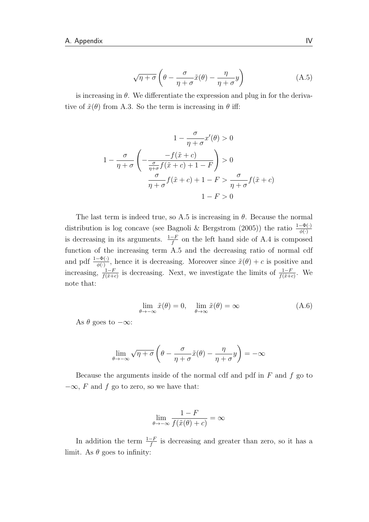<span id="page-68-0"></span>
$$
\sqrt{\eta + \sigma} \left( \theta - \frac{\sigma}{\eta + \sigma} \tilde{x}(\theta) - \frac{\eta}{\eta + \sigma} y \right) \tag{A.5}
$$

is increasing in  $\theta$ . We differentiate the expression and plug in for the derivative of  $\tilde{x}(\theta)$  from [A.3.](#page-67-1) So the term is increasing in  $\theta$  iff:

$$
1 - \frac{\sigma}{\eta + \sigma} x'(\theta) > 0
$$
  

$$
1 - \frac{\sigma}{\eta + \sigma} \left( -\frac{-f(\tilde{x} + c)}{\frac{\sigma}{\eta + \sigma} f(\tilde{x} + c) + 1 - F} \right) > 0
$$
  

$$
\frac{\sigma}{\eta + \sigma} f(\tilde{x} + c) + 1 - F > \frac{\sigma}{\eta + \sigma} f(\tilde{x} + c)
$$
  

$$
1 - F > 0
$$

The last term is indeed true, so [A.5](#page-68-0) is increasing in  $\theta$ . Because the normal distribution is log concave (see [Bagnoli & Bergstrom](#page-62-6) [\(2005\)](#page-62-6)) the ratio  $\frac{1-\Phi(\cdot)}{\phi(\cdot)}$ is decreasing in its arguments.  $\frac{1-F}{f}$  on the left hand side of [A.4](#page-67-0) is composed function of the increasing term [A.5](#page-68-0) and the decreasing ratio of normal cdf and pdf  $\frac{1-\Phi(\cdot)}{\phi(\cdot)}$ , hence it is decreasing. Moreover since  $\tilde{x}(\theta) + c$  is positive and increasing,  $\frac{1-F}{f(\tilde{x}+c)}$  is decreasing. Next, we investigate the limits of  $\frac{1-F}{f(\tilde{x}+c)}$ . We note that:

$$
\lim_{\theta \to -\infty} \tilde{x}(\theta) = 0, \quad \lim_{\theta \to \infty} \tilde{x}(\theta) = \infty
$$
\n(A.6)

As  $\theta$  goes to  $-\infty$ :

$$
\lim_{\theta \to -\infty} \sqrt{\eta + \sigma} \left( \theta - \frac{\sigma}{\eta + \sigma} \tilde{x}(\theta) - \frac{\eta}{\eta + \sigma} y \right) = -\infty
$$

Because the arguments inside of the normal cdf and pdf in  $F$  and  $f$  go to  $-\infty$ , F and f go to zero, so we have that:

$$
\lim_{\theta \to -\infty} \frac{1 - F}{f(\tilde{x}(\theta) + c)} = \infty
$$

In addition the term  $\frac{1-F}{f}$  is decreasing and greater than zero, so it has a limit. As  $\theta$  goes to infinity: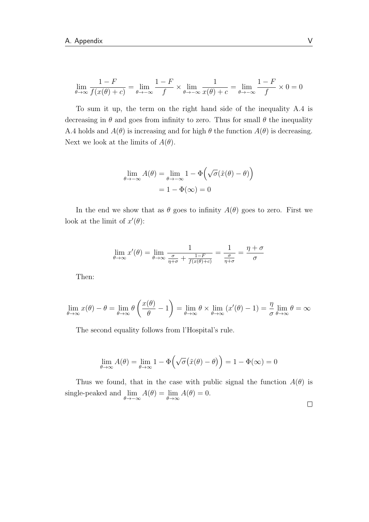$$
\lim_{\theta \to \infty} \frac{1 - F}{f(x(\theta) + c)} = \lim_{\theta \to -\infty} \frac{1 - F}{f} \times \lim_{\theta \to -\infty} \frac{1}{x(\theta) + c} = \lim_{\theta \to -\infty} \frac{1 - F}{f} \times 0 = 0
$$

To sum it up, the term on the right hand side of the inequality [A.4](#page-67-0) is decreasing in  $\theta$  and goes from infinity to zero. Thus for small  $\theta$  the inequality [A.4](#page-67-0) holds and  $A(\theta)$  is increasing and for high  $\theta$  the function  $A(\theta)$  is decreasing. Next we look at the limits of  $A(\theta)$ .

$$
\lim_{\theta \to -\infty} A(\theta) = \lim_{\theta \to -\infty} 1 - \Phi(\sqrt{\sigma}(\tilde{x}(\theta) - \theta))
$$

$$
= 1 - \Phi(\infty) = 0
$$

In the end we show that as  $\theta$  goes to infinity  $A(\theta)$  goes to zero. First we look at the limit of  $x'(\theta)$ :

$$
\lim_{\theta \to \infty} x'(\theta) = \lim_{\theta \to \infty} \frac{1}{\frac{\sigma}{\eta + \sigma} + \frac{1 - F}{f(x(\theta) + c)}} = \frac{1}{\frac{\sigma}{\eta + \sigma}} = \frac{\eta + \sigma}{\sigma}
$$

Then:

$$
\lim_{\theta \to \infty} x(\theta) - \theta = \lim_{\theta \to \infty} \theta \left( \frac{x(\theta)}{\theta} - 1 \right) = \lim_{\theta \to \infty} \theta \times \lim_{\theta \to \infty} (x'(\theta) - 1) = \frac{\eta}{\sigma} \lim_{\theta \to \infty} \theta = \infty
$$

The second equality follows from l'Hospital's rule.

$$
\lim_{\theta \to \infty} A(\theta) = \lim_{\theta \to \infty} 1 - \Phi\left(\sqrt{\sigma}(\tilde{x}(\theta) - \theta)\right) = 1 - \Phi(\infty) = 0
$$

Thus we found, that in the case with public signal the function  $A(\theta)$  is single-peaked and  $\lim_{\theta \to -\infty} A(\theta) = \lim_{\theta \to \infty} A(\theta) = 0.$ 

 $\Box$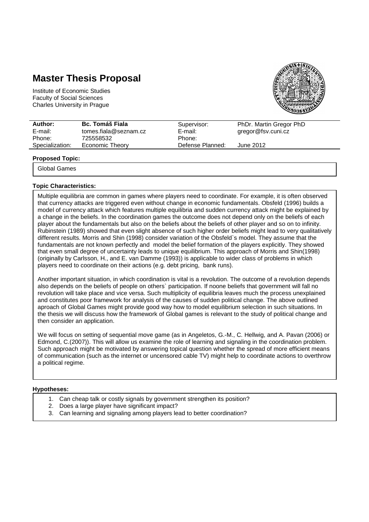## **Master Thesis Proposal**

Institute of Economic Studies Faculty of Social Sciences Charles University in Prague



| $t$ omes.fiala@seznam.cz<br>E-mail:<br>gregor@fsv.cuni.cz<br>E-mail: | Author: | <b>Bc. Tomáš Fiala</b> | Supervisor: | PhDr. Martin Gregor PhD |
|----------------------------------------------------------------------|---------|------------------------|-------------|-------------------------|
|                                                                      |         |                        |             |                         |
|                                                                      | Phone:  | 725558532              | Phone:      |                         |
| Specialization:<br>Economic Theory<br>Defense Planned:<br>June 2012  |         |                        |             |                         |

#### **Proposed Topic:**

Global Games

#### **Topic Characteristics:**

Multiple equilibria are common in games where players need to coordinate. For example, it is often observed that currency attacks are triggered even without change in economic fundamentals. Obsfeld (1996) builds a model of currency attack which features multiple equilibria and sudden currency attack might be explained by a change in the beliefs. In the coordination games the outcome does not depend only on the beliefs of each player about the fundamentals but also on the beliefs about the beliefs of other player and so on to infinity. Rubinstein (1989) showed that even slight absence of such higher order beliefs might lead to very qualitatively different results. Morris and Shin (1998) consider variation of the Obsfeld`s model. They assume that the fundamentals are not known perfectly and model the belief formation of the players explicitly. They showed that even small degree of uncertainty leads to unique equilibrium. This approach of Morris and Shin(1998) (originally by Carlsson, H., and E. van Damme (1993)) is applicable to wider class of problems in which players need to coordinate on their actions (e.g. debt pricing, bank runs).

Another important situation, in which coordination is vital is a revolution. The outcome of a revolution depends also depends on the beliefs of people on others` participation. If noone beliefs that government will fall no revolution will take place and vice versa. Such multiplicity of equilibria leaves much the process unexplained and constitutes poor framework for analysis of the causes of sudden political change. The above outlined aproach of Global Games might provide good way how to model equilibrium selection in such situations. In the thesis we will discuss how the framework of Global games is relevant to the study of political change and then consider an application.

We will focus on setting of sequential move game (as in Angeletos, G.-M., C. Hellwig, and A. Pavan (2006) or Edmond, C.(2007)). This will allow us examine the role of learning and signaling in the coordination problem. Such approach might be motivated by answering topical question whether the spread of more efficient means of communication (such as the internet or uncensored cable TV) might help to coordinate actions to overthrow a political regime.

#### **Hypotheses:**

- 1. Can cheap talk or costly signals by government strengthen its position?
- 2. Does a large player have significant impact?
- 3. Can learning and signaling among players lead to better coordination?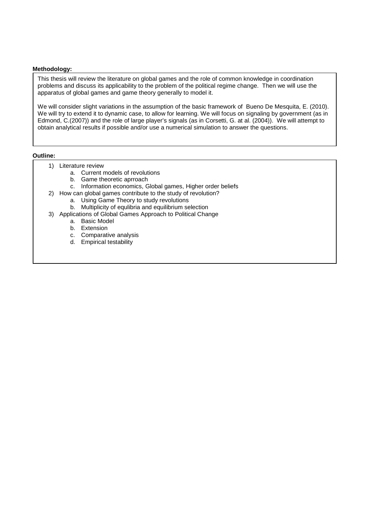#### **Methodology:**

This thesis will review the literature on global games and the role of common knowledge in coordination problems and discuss its applicability to the problem of the political regime change. Then we will use the apparatus of global games and game theory generally to model it.

We will consider slight variations in the assumption of the basic framework of Bueno De Mesquita, E. (2010). We will try to extend it to dynamic case, to allow for learning. We will focus on signaling by government (as in Edmond, C.(2007)) and the role of large player's signals (as in Corsetti, G. at al. (2004)). We will attempt to obtain analytical results if possible and/or use a numerical simulation to answer the questions.

#### **Outline:**

- 1) Literature review
	- a. Current models of revolutions
	- b. Game theoretic aprroach
	- c. Information economics, Global games, Higher order beliefs
- 2) How can global games contribute to the study of revolution?
	- a. Using Game Theory to study revolutions
	- b. Multiplicity of equlibria and equilibrium selection
- 3) Applications of Global Games Approach to Political Change
	- a. Basic Model
	- b. Extension
	- c. Comparative analysis
	- d. Empirical testability